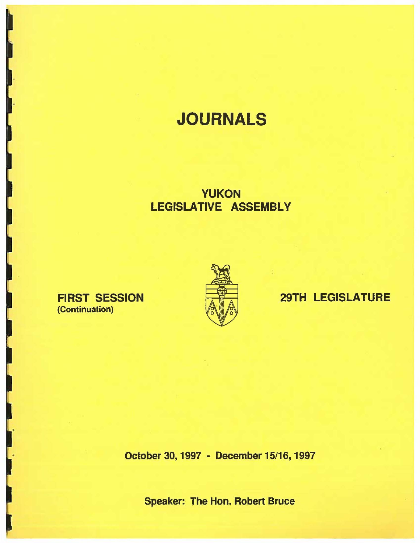# **JOURNALS**

## YUKON **LEGISLATIVE ASSEMBLY**

## FIRST SESSION (Continuation)



## 29TH LEGISLATURE

October 30, 1997 - December 15/16, 1997

Speaker: The Hon. Robert Bruce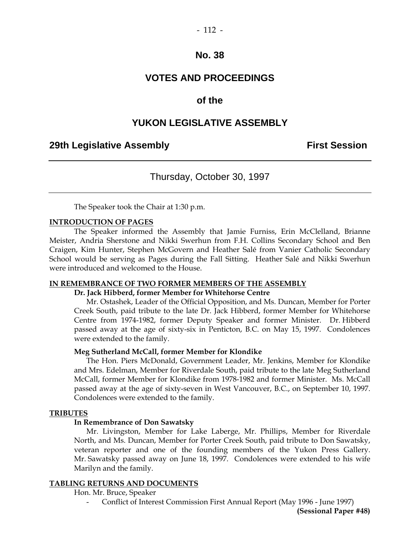### **VOTES AND PROCEEDINGS**

### **of the**

### **YUKON LEGISLATIVE ASSEMBLY**

### **29th Legislative Assembly Constructed Assembly Constructed Assembly** First Session

### Thursday, October 30, 1997

The Speaker took the Chair at 1:30 p.m.

#### **INTRODUCTION OF PAGES**

 The Speaker informed the Assembly that Jamie Furniss, Erin McClelland, Brianne Meister, Andria Sherstone and Nikki Swerhun from F.H. Collins Secondary School and Ben Craigen, Kim Hunter, Stephen McGovern and Heather Salé from Vanier Catholic Secondary School would be serving as Pages during the Fall Sitting. Heather Salé and Nikki Swerhun were introduced and welcomed to the House.

#### **IN REMEMBRANCE OF TWO FORMER MEMBERS OF THE ASSEMBLY**

#### **Dr. Jack Hibberd, former Member for Whitehorse Centre**

 Mr. Ostashek, Leader of the Official Opposition, and Ms. Duncan, Member for Porter Creek South, paid tribute to the late Dr. Jack Hibberd, former Member for Whitehorse Centre from 1974-1982, former Deputy Speaker and former Minister. Dr. Hibberd passed away at the age of sixty-six in Penticton, B.C. on May 15, 1997. Condolences were extended to the family.

#### **Meg Sutherland McCall, former Member for Klondike**

The Hon. Piers McDonald, Government Leader, Mr. Jenkins, Member for Klondike and Mrs. Edelman, Member for Riverdale South, paid tribute to the late Meg Sutherland McCall, former Member for Klondike from 1978-1982 and former Minister. Ms. McCall passed away at the age of sixty-seven in West Vancouver, B.C., on September 10, 1997. Condolences were extended to the family.

#### **TRIBUTES**

#### **In Remembrance of Don Sawatsky**

 Mr. Livingston, Member for Lake Laberge, Mr. Phillips, Member for Riverdale North, and Ms. Duncan, Member for Porter Creek South, paid tribute to Don Sawatsky, veteran reporter and one of the founding members of the Yukon Press Gallery. Mr. Sawatsky passed away on June 18, 1997. Condolences were extended to his wife Marilyn and the family.

#### **TABLING RETURNS AND DOCUMENTS**

Hon. Mr. Bruce, Speaker

- Conflict of Interest Commission First Annual Report (May 1996 - June 1997)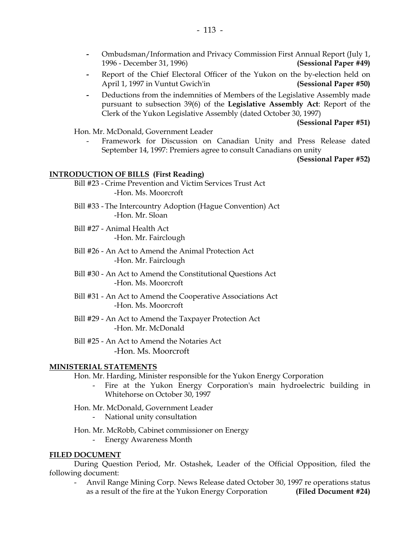- Ombudsman/Information and Privacy Commission First Annual Report (July 1, 1996 - December 31, 1996) **(Sessional Paper #49)**
- Report of the Chief Electoral Officer of the Yukon on the by-election held on April 1, 1997 in Vuntut Gwich'in **(Sessional Paper #50)**
- Deductions from the indemnities of Members of the Legislative Assembly made pursuant to subsection 39(6) of the **Legislative Assembly Act**: Report of the Clerk of the Yukon Legislative Assembly (dated October 30, 1997)

**(Sessional Paper #51)** 

Hon. Mr. McDonald, Government Leader

Framework for Discussion on Canadian Unity and Press Release dated September 14, 1997: Premiers agree to consult Canadians on unity

**(Sessional Paper #52)** 

#### **INTRODUCTION OF BILLS (First Reading)**

- Bill #23 Crime Prevention and Victim Services Trust Act -Hon. Ms. Moorcroft
- Bill #33 The Intercountry Adoption (Hague Convention) Act -Hon. Mr. Sloan
- Bill #27 Animal Health Act -Hon. Mr. Fairclough
- Bill #26 An Act to Amend the Animal Protection Act -Hon. Mr. Fairclough
- Bill #30 An Act to Amend the Constitutional Questions Act -Hon. Ms. Moorcroft
- Bill #31 An Act to Amend the Cooperative Associations Act -Hon. Ms. Moorcroft
- Bill #29 An Act to Amend the Taxpayer Protection Act -Hon. Mr. McDonald
- Bill #25 An Act to Amend the Notaries Act -Hon. Ms. Moorcroft

#### **MINISTERIAL STATEMENTS**

- Hon. Mr. Harding, Minister responsible for the Yukon Energy Corporation
	- Fire at the Yukon Energy Corporation's main hydroelectric building in Whitehorse on October 30, 1997
- Hon. Mr. McDonald, Government Leader
	- National unity consultation
- Hon. Mr. McRobb, Cabinet commissioner on Energy - Energy Awareness Month

## **FILED DOCUMENT**

 During Question Period, Mr. Ostashek, Leader of the Official Opposition, filed the following document:

 - Anvil Range Mining Corp. News Release dated October 30, 1997 re operations status as a result of the fire at the Yukon Energy Corporation **(Filed Document #24)**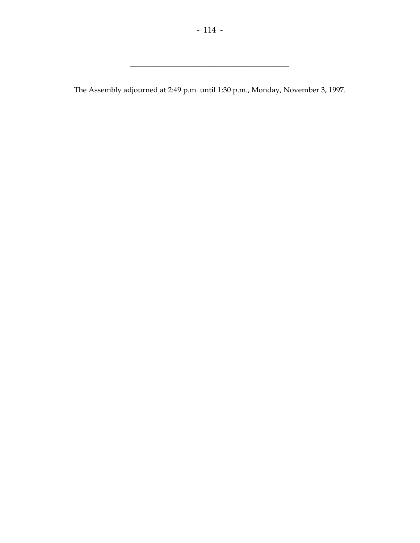The Assembly adjourned at 2:49 p.m. until 1:30 p.m., Monday, November 3, 1997.

\_\_\_\_\_\_\_\_\_\_\_\_\_\_\_\_\_\_\_\_\_\_\_\_\_\_\_\_\_\_\_\_\_\_\_\_\_\_\_\_\_\_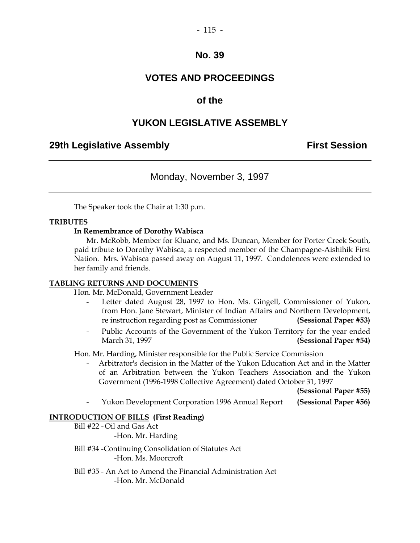### **VOTES AND PROCEEDINGS**

### **of the**

### **YUKON LEGISLATIVE ASSEMBLY**

### **29th Legislative Assembly Constructed Assembly** First Session

Monday, November 3, 1997

The Speaker took the Chair at 1:30 p.m.

#### **TRIBUTES**

#### **In Remembrance of Dorothy Wabisca**

 Mr. McRobb, Member for Kluane, and Ms. Duncan, Member for Porter Creek South, paid tribute to Dorothy Wabisca, a respected member of the Champagne-Aishihik First Nation. Mrs. Wabisca passed away on August 11, 1997. Condolences were extended to her family and friends.

#### **TABLING RETURNS AND DOCUMENTS**

Hon. Mr. McDonald, Government Leader

- Letter dated August 28, 1997 to Hon. Ms. Gingell, Commissioner of Yukon, from Hon. Jane Stewart, Minister of Indian Affairs and Northern Development, re instruction regarding post as Commissioner **(Sessional Paper #53)**
- Public Accounts of the Government of the Yukon Territory for the year ended March 31, 1997 **(Sessional Paper #54)**

Hon. Mr. Harding, Minister responsible for the Public Service Commission

 - Arbitrator's decision in the Matter of the Yukon Education Act and in the Matter of an Arbitration between the Yukon Teachers Association and the Yukon Government (1996-1998 Collective Agreement) dated October 31, 1997

**(Sessional Paper #55)** 

- Yukon Development Corporation 1996 Annual Report **(Sessional Paper #56)** 

#### **INTRODUCTION OF BILLS (First Reading)**

 Bill #22 - Oil and Gas Act -Hon. Mr. Harding

 Bill #34 -Continuing Consolidation of Statutes Act -Hon. Ms. Moorcroft

 Bill #35 - An Act to Amend the Financial Administration Act -Hon. Mr. McDonald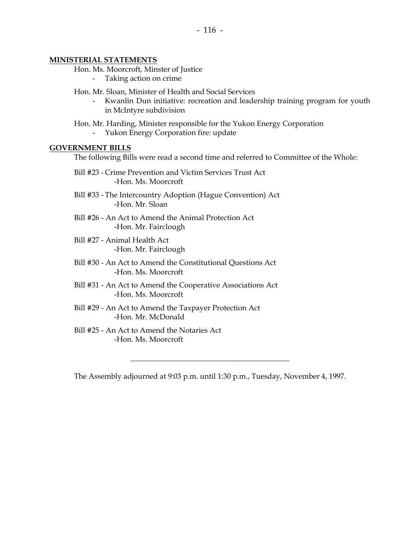#### **MINISTERIAL STATEMENTS**

Hon. Ms. Moorcroft, Minster of Justice

Taking action on crime

Hon. Mr. Sloan, Minister of Health and Social Services

Kwanlin Dun initiative: recreation and leadership training program for youth in McIntyre subdivision

Hon. Mr. Harding, Minister responsible for the Yukon Energy Corporation

- Yukon Energy Corporation fire: update

#### **GOVERNMENT BILLS**

The following Bills were read a second time and referred to Committee of the Whole:

- Bill #23 Crime Prevention and Victim Services Trust Act -Hon. Ms. Moorcroft
- Bill #33 The Intercountry Adoption (Hague Convention) Act -Hon. Mr. Sloan
- Bill #26 An Act to Amend the Animal Protection Act -Hon. Mr. Fairclough
- Bill #27 Animal Health Act -Hon. Mr. Fairclough
- Bill #30 An Act to Amend the Constitutional Questions Act -Hon. Ms. Moorcroft
- Bill #31 An Act to Amend the Cooperative Associations Act -Hon. Ms. Moorcroft
- Bill #29 An Act to Amend the Taxpayer Protection Act -Hon. Mr. McDonald
- Bill #25 An Act to Amend the Notaries Act -Hon. Ms. Moorcroft

The Assembly adjourned at 9:03 p.m. until 1:30 p.m., Tuesday, November 4, 1997.

\_\_\_\_\_\_\_\_\_\_\_\_\_\_\_\_\_\_\_\_\_\_\_\_\_\_\_\_\_\_\_\_\_\_\_\_\_\_\_\_\_\_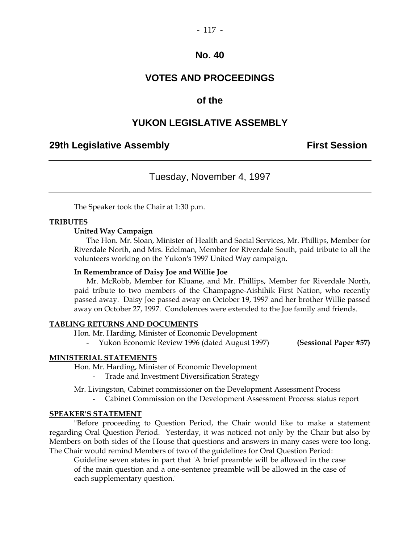### **VOTES AND PROCEEDINGS**

### **of the**

### **YUKON LEGISLATIVE ASSEMBLY**

### **29th Legislative Assembly Constructed Assembly** First Session

### Tuesday, November 4, 1997

The Speaker took the Chair at 1:30 p.m.

#### **TRIBUTES**

#### **United Way Campaign**

 The Hon. Mr. Sloan, Minister of Health and Social Services, Mr. Phillips, Member for Riverdale North, and Mrs. Edelman, Member for Riverdale South, paid tribute to all the volunteers working on the Yukon's 1997 United Way campaign.

#### **In Remembrance of Daisy Joe and Willie Joe**

 Mr. McRobb, Member for Kluane, and Mr. Phillips, Member for Riverdale North, paid tribute to two members of the Champagne-Aishihik First Nation, who recently passed away. Daisy Joe passed away on October 19, 1997 and her brother Willie passed away on October 27, 1997. Condolences were extended to the Joe family and friends.

#### **TABLING RETURNS AND DOCUMENTS**

Hon. Mr. Harding, Minister of Economic Development

- Yukon Economic Review 1996 (dated August 1997) **(Sessional Paper #57)** 

#### **MINISTERIAL STATEMENTS**

Hon. Mr. Harding, Minister of Economic Development

- Trade and Investment Diversification Strategy

Mr. Livingston, Cabinet commissioner on the Development Assessment Process

- Cabinet Commission on the Development Assessment Process: status report

#### **SPEAKER'S STATEMENT**

 "Before proceeding to Question Period, the Chair would like to make a statement regarding Oral Question Period. Yesterday, it was noticed not only by the Chair but also by Members on both sides of the House that questions and answers in many cases were too long. The Chair would remind Members of two of the guidelines for Oral Question Period:

 Guideline seven states in part that 'A brief preamble will be allowed in the case of the main question and a one-sentence preamble will be allowed in the case of each supplementary question.'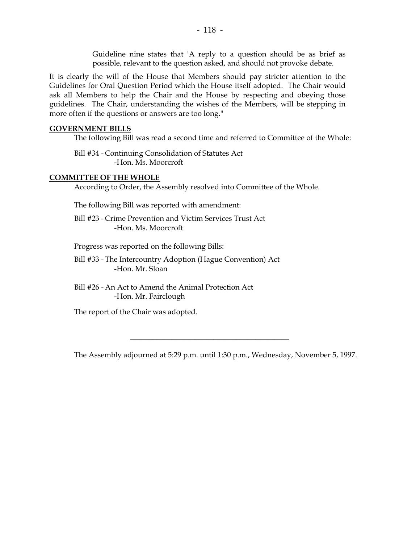Guideline nine states that 'A reply to a question should be as brief as possible, relevant to the question asked, and should not provoke debate.

It is clearly the will of the House that Members should pay stricter attention to the Guidelines for Oral Question Period which the House itself adopted. The Chair would ask all Members to help the Chair and the House by respecting and obeying those guidelines. The Chair, understanding the wishes of the Members, will be stepping in more often if the questions or answers are too long."

#### **GOVERNMENT BILLS**

The following Bill was read a second time and referred to Committee of the Whole:

 Bill #34 - Continuing Consolidation of Statutes Act -Hon. Ms. Moorcroft

### **COMMITTEE OF THE WHOLE**

According to Order, the Assembly resolved into Committee of the Whole.

The following Bill was reported with amendment:

 Bill #23 - Crime Prevention and Victim Services Trust Act -Hon. Ms. Moorcroft

Progress was reported on the following Bills:

 Bill #33 - The Intercountry Adoption (Hague Convention) Act -Hon. Mr. Sloan

 Bill #26 - An Act to Amend the Animal Protection Act -Hon. Mr. Fairclough

The report of the Chair was adopted.

The Assembly adjourned at 5:29 p.m. until 1:30 p.m., Wednesday, November 5, 1997.

\_\_\_\_\_\_\_\_\_\_\_\_\_\_\_\_\_\_\_\_\_\_\_\_\_\_\_\_\_\_\_\_\_\_\_\_\_\_\_\_\_\_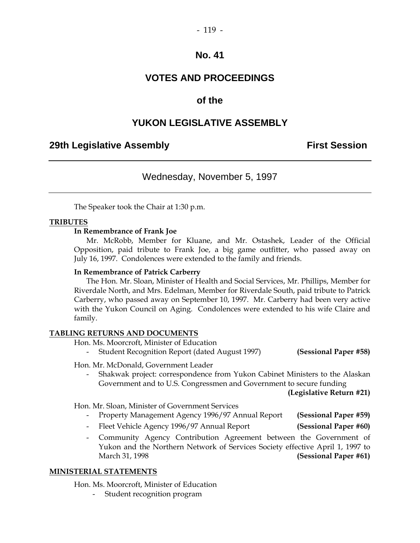### **VOTES AND PROCEEDINGS**

### **of the**

### **YUKON LEGISLATIVE ASSEMBLY**

### **29th Legislative Assembly Constructed Assembly Constructed Assembly** First Session

### Wednesday, November 5, 1997

The Speaker took the Chair at 1:30 p.m.

#### **TRIBUTES**

#### **In Remembrance of Frank Joe**

 Mr. McRobb, Member for Kluane, and Mr. Ostashek, Leader of the Official Opposition, paid tribute to Frank Joe, a big game outfitter, who passed away on July 16, 1997. Condolences were extended to the family and friends.

#### **In Remembrance of Patrick Carberry**

 The Hon. Mr. Sloan, Minister of Health and Social Services, Mr. Phillips, Member for Riverdale North, and Mrs. Edelman, Member for Riverdale South, paid tribute to Patrick Carberry, who passed away on September 10, 1997. Mr. Carberry had been very active with the Yukon Council on Aging. Condolences were extended to his wife Claire and family.

#### **TABLING RETURNS AND DOCUMENTS**

Hon. Ms. Moorcroft, Minister of Education

- Student Recognition Report (dated August 1997) **(Sessional Paper #58)** 

Hon. Mr. McDonald, Government Leader

 - Shakwak project: correspondence from Yukon Cabinet Ministers to the Alaskan Government and to U.S. Congressmen and Government to secure funding

**(Legislative Return #21)** 

Hon. Mr. Sloan, Minister of Government Services

- Property Management Agency 1996/97 Annual Report **(Sessional Paper #59)**
- Fleet Vehicle Agency 1996/97 Annual Report **(Sessional Paper #60)**
- Community Agency Contribution Agreement between the Government of Yukon and the Northern Network of Services Society effective April 1, 1997 to March 31, 1998 **(Sessional Paper #61)**

#### **MINISTERIAL STATEMENTS**

Hon. Ms. Moorcroft, Minister of Education

Student recognition program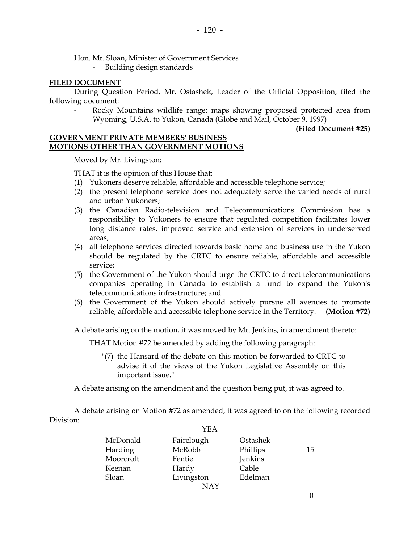Hon. Mr. Sloan, Minister of Government Services

- Building design standards

#### **FILED DOCUMENT**

 During Question Period, Mr. Ostashek, Leader of the Official Opposition, filed the following document:

Rocky Mountains wildlife range: maps showing proposed protected area from Wyoming, U.S.A. to Yukon, Canada (Globe and Mail, October 9, 1997)

**(Filed Document #25)** 

#### **GOVERNMENT PRIVATE MEMBERS' BUSINESS MOTIONS OTHER THAN GOVERNMENT MOTIONS**

Moved by Mr. Livingston:

THAT it is the opinion of this House that:

- (1) Yukoners deserve reliable, affordable and accessible telephone service;
- (2) the present telephone service does not adequately serve the varied needs of rural and urban Yukoners;
- (3) the Canadian Radio-television and Telecommunications Commission has a responsibility to Yukoners to ensure that regulated competition facilitates lower long distance rates, improved service and extension of services in underserved areas;
- (4) all telephone services directed towards basic home and business use in the Yukon should be regulated by the CRTC to ensure reliable, affordable and accessible service;
- (5) the Government of the Yukon should urge the CRTC to direct telecommunications companies operating in Canada to establish a fund to expand the Yukon's telecommunications infrastructure; and
- (6) the Government of the Yukon should actively pursue all avenues to promote reliable, affordable and accessible telephone service in the Territory. **(Motion #72)**

A debate arising on the motion, it was moved by Mr. Jenkins, in amendment thereto:

THAT Motion #72 be amended by adding the following paragraph:

 "(7) the Hansard of the debate on this motion be forwarded to CRTC to advise it of the views of the Yukon Legislative Assembly on this important issue."

A debate arising on the amendment and the question being put, it was agreed to.

 A debate arising on Motion #72 as amended, it was agreed to on the following recorded Division:

|           | YEA        |          |    |
|-----------|------------|----------|----|
| McDonald  | Fairclough | Ostashek |    |
| Harding   | McRobb     | Phillips | 15 |
| Moorcroft | Fentie     | Jenkins  |    |
| Keenan    | Hardy      | Cable    |    |
| Sloan     | Livingston | Edelman  |    |
|           | <b>NAY</b> |          |    |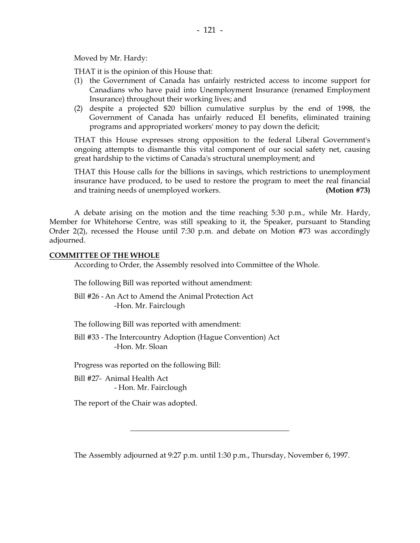Moved by Mr. Hardy:

THAT it is the opinion of this House that:

- (1) the Government of Canada has unfairly restricted access to income support for Canadians who have paid into Unemployment Insurance (renamed Employment Insurance) throughout their working lives; and
- (2) despite a projected \$20 billion cumulative surplus by the end of 1998, the Government of Canada has unfairly reduced EI benefits, eliminated training programs and appropriated workers' money to pay down the deficit;

 THAT this House expresses strong opposition to the federal Liberal Government's ongoing attempts to dismantle this vital component of our social safety net, causing great hardship to the victims of Canada's structural unemployment; and

 THAT this House calls for the billions in savings, which restrictions to unemployment insurance have produced, to be used to restore the program to meet the real financial and training needs of unemployed workers. **(Motion #73)** 

 A debate arising on the motion and the time reaching 5:30 p.m., while Mr. Hardy, Member for Whitehorse Centre, was still speaking to it, the Speaker, pursuant to Standing Order 2(2), recessed the House until 7:30 p.m. and debate on Motion #73 was accordingly adjourned.

#### **COMMITTEE OF THE WHOLE**

According to Order, the Assembly resolved into Committee of the Whole.

The following Bill was reported without amendment:

 Bill #26 - An Act to Amend the Animal Protection Act -Hon. Mr. Fairclough

The following Bill was reported with amendment:

 Bill #33 - The Intercountry Adoption (Hague Convention) Act -Hon. Mr. Sloan

Progress was reported on the following Bill:

 Bill #27- Animal Health Act - Hon. Mr. Fairclough

The report of the Chair was adopted.

The Assembly adjourned at 9:27 p.m. until 1:30 p.m., Thursday, November 6, 1997.

\_\_\_\_\_\_\_\_\_\_\_\_\_\_\_\_\_\_\_\_\_\_\_\_\_\_\_\_\_\_\_\_\_\_\_\_\_\_\_\_\_\_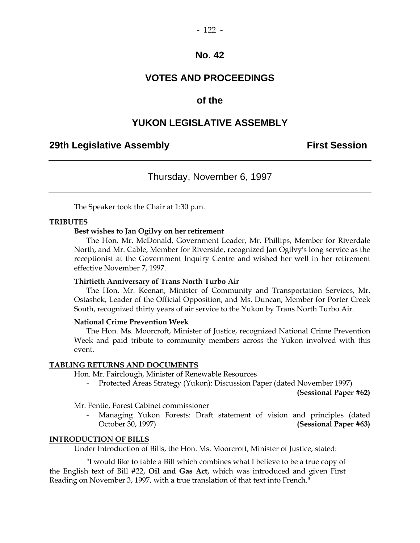### **VOTES AND PROCEEDINGS**

### **of the**

### **YUKON LEGISLATIVE ASSEMBLY**

### **29th Legislative Assembly Constructed Assembly Constructed Assembly** First Session

### Thursday, November 6, 1997

The Speaker took the Chair at 1:30 p.m.

#### **TRIBUTES**

#### **Best wishes to Jan Ogilvy on her retirement**

 The Hon. Mr. McDonald, Government Leader, Mr. Phillips, Member for Riverdale North, and Mr. Cable, Member for Riverside, recognized Jan Ogilvy's long service as the receptionist at the Government Inquiry Centre and wished her well in her retirement effective November 7, 1997.

#### **Thirtieth Anniversary of Trans North Turbo Air**

 The Hon. Mr. Keenan, Minister of Community and Transportation Services, Mr. Ostashek, Leader of the Official Opposition, and Ms. Duncan, Member for Porter Creek South, recognized thirty years of air service to the Yukon by Trans North Turbo Air.

#### **National Crime Prevention Week**

 The Hon. Ms. Moorcroft, Minister of Justice, recognized National Crime Prevention Week and paid tribute to community members across the Yukon involved with this event.

#### **TABLING RETURNS AND DOCUMENTS**

Hon. Mr. Fairclough, Minister of Renewable Resources

Protected Areas Strategy (Yukon): Discussion Paper (dated November 1997)

**(Sessional Paper #62)** 

Mr. Fentie, Forest Cabinet commissioner

Managing Yukon Forests: Draft statement of vision and principles (dated October 30, 1997) **(Sessional Paper #63)** 

#### **INTRODUCTION OF BILLS**

Under Introduction of Bills, the Hon. Ms. Moorcroft, Minister of Justice, stated:

 "I would like to table a Bill which combines what I believe to be a true copy of the English text of Bill #22, **Oil and Gas Act**, which was introduced and given First Reading on November 3, 1997, with a true translation of that text into French."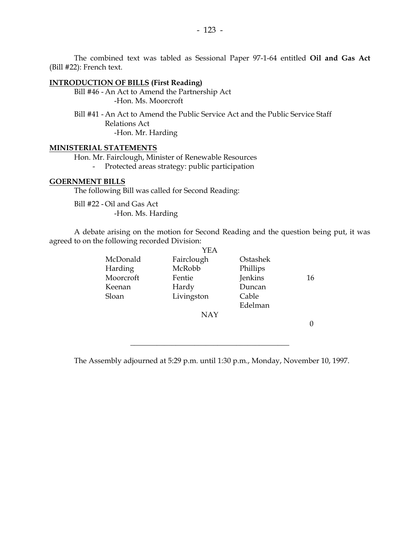The combined text was tabled as Sessional Paper 97-1-64 entitled **Oil and Gas Act** (Bill #22): French text.

### **INTRODUCTION OF BILLS (First Reading)**

 Bill #46 - An Act to Amend the Partnership Act -Hon. Ms. Moorcroft

 Bill #41 - An Act to Amend the Public Service Act and the Public Service Staff Relations Act -Hon. Mr. Harding

#### **MINISTERIAL STATEMENTS**

 Hon. Mr. Fairclough, Minister of Renewable Resources - Protected areas strategy: public participation

#### **GOERNMENT BILLS**

The following Bill was called for Second Reading:

 Bill #22 - Oil and Gas Act -Hon. Ms. Harding

 A debate arising on the motion for Second Reading and the question being put, it was agreed to on the following recorded Division:  $\sqrt{2}$ 

|           | YEA        |          |    |
|-----------|------------|----------|----|
| McDonald  | Fairclough | Ostashek |    |
| Harding   | McRobb     | Phillips |    |
| Moorcroft | Fentie     | Jenkins  | 16 |
| Keenan    | Hardy      | Duncan   |    |
| Sloan     | Livingston | Cable    |    |
|           |            | Edelman  |    |
|           | NAY        |          |    |
|           |            |          |    |
|           |            |          |    |

The Assembly adjourned at 5:29 p.m. until 1:30 p.m., Monday, November 10, 1997.

 $\overline{\phantom{a}}$  , and the set of the set of the set of the set of the set of the set of the set of the set of the set of the set of the set of the set of the set of the set of the set of the set of the set of the set of the s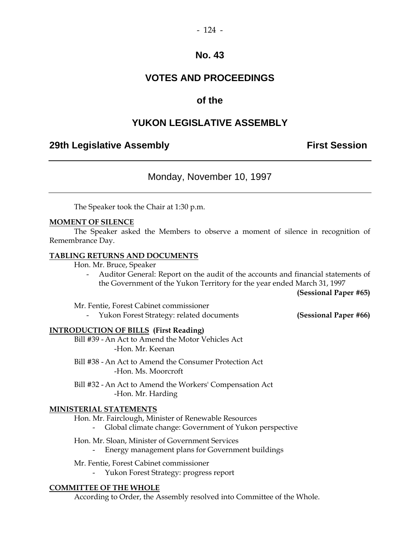### **VOTES AND PROCEEDINGS**

### **of the**

### **YUKON LEGISLATIVE ASSEMBLY**

### **29th Legislative Assembly Constructed Assembly** First Session

Monday, November 10, 1997

The Speaker took the Chair at 1:30 p.m.

#### **MOMENT OF SILENCE**

 The Speaker asked the Members to observe a moment of silence in recognition of Remembrance Day.

#### **TABLING RETURNS AND DOCUMENTS**

Hon. Mr. Bruce, Speaker

 - Auditor General: Report on the audit of the accounts and financial statements of the Government of the Yukon Territory for the year ended March 31, 1997

**(Sessional Paper #65)** 

Mr. Fentie, Forest Cabinet commissioner

- Yukon Forest Strategy: related documents **(Sessional Paper #66)** 

#### **INTRODUCTION OF BILLS (First Reading)**

 Bill #39 - An Act to Amend the Motor Vehicles Act -Hon. Mr. Keenan

- Bill #38 An Act to Amend the Consumer Protection Act -Hon. Ms. Moorcroft
- Bill #32 An Act to Amend the Workers' Compensation Act -Hon. Mr. Harding

#### **MINISTERIAL STATEMENTS**

 Hon. Mr. Fairclough, Minister of Renewable Resources - Global climate change: Government of Yukon perspective

 Hon. Mr. Sloan, Minister of Government Services - Energy management plans for Government buildings

 Mr. Fentie, Forest Cabinet commissioner - Yukon Forest Strategy: progress report

#### **COMMITTEE OF THE WHOLE**

According to Order, the Assembly resolved into Committee of the Whole.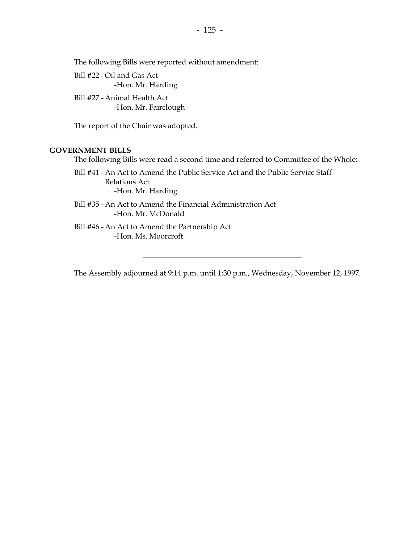The following Bills were reported without amendment:

 Bill #22 - Oil and Gas Act -Hon. Mr. Harding

 Bill #27 - Animal Health Act -Hon. Mr. Fairclough

The report of the Chair was adopted.

#### **GOVERNMENT BILLS**

The following Bills were read a second time and referred to Committee of the Whole:

 Bill #41 - An Act to Amend the Public Service Act and the Public Service Staff Relations Act -Hon. Mr. Harding

 Bill #35 - An Act to Amend the Financial Administration Act -Hon. Mr. McDonald

 Bill #46 - An Act to Amend the Partnership Act -Hon. Ms. Moorcroft

The Assembly adjourned at 9:14 p.m. until 1:30 p.m., Wednesday, November 12, 1997.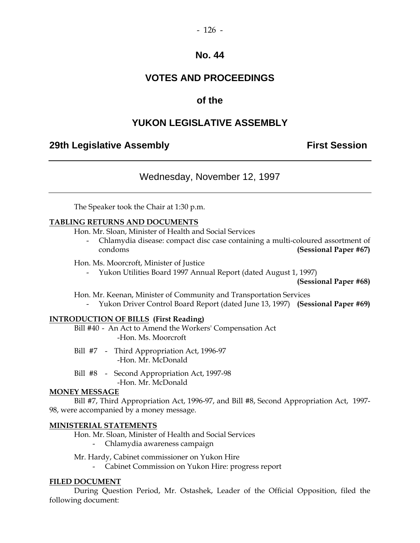### **VOTES AND PROCEEDINGS**

### **of the**

### **YUKON LEGISLATIVE ASSEMBLY**

### **29th Legislative Assembly Constructed Assembly** First Session

### Wednesday, November 12, 1997

The Speaker took the Chair at 1:30 p.m.

#### **TABLING RETURNS AND DOCUMENTS**

Hon. Mr. Sloan, Minister of Health and Social Services

 - Chlamydia disease: compact disc case containing a multi-coloured assortment of condoms **(Sessional Paper #67)** 

#### Hon. Ms. Moorcroft, Minister of Justice

- Yukon Utilities Board 1997 Annual Report (dated August 1, 1997)

**(Sessional Paper #68)**

Hon. Mr. Keenan, Minister of Community and Transportation Services

- Yukon Driver Control Board Report (dated June 13, 1997) **(Sessional Paper #69)** 

#### **INTRODUCTION OF BILLS (First Reading)**

 Bill #40 - An Act to Amend the Workers' Compensation Act -Hon. Ms. Moorcroft

- Bill #7 Third Appropriation Act, 1996-97 -Hon. Mr. McDonald
- Bill #8 Second Appropriation Act, 1997-98 -Hon. Mr. McDonald

### **MONEY MESSAGE**

 Bill #7, Third Appropriation Act, 1996-97, and Bill #8, Second Appropriation Act, 1997- 98, were accompanied by a money message.

#### **MINISTERIAL STATEMENTS**

Hon. Mr. Sloan, Minister of Health and Social Services

- Chlamydia awareness campaign

Mr. Hardy, Cabinet commissioner on Yukon Hire

- Cabinet Commission on Yukon Hire: progress report

#### **FILED DOCUMENT**

 During Question Period, Mr. Ostashek, Leader of the Official Opposition, filed the following document: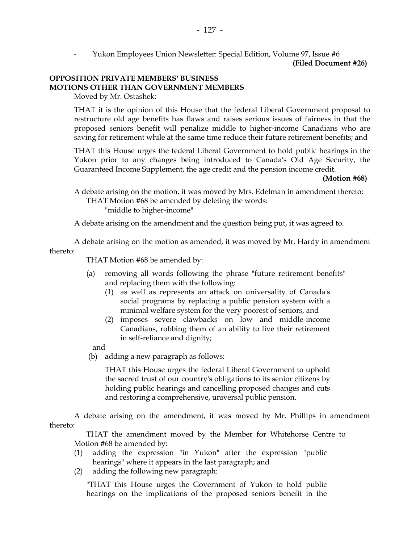- Yukon Employees Union Newsletter: Special Edition, Volume 97, Issue #6

**(Filed Document #26)**

### **OPPOSITION PRIVATE MEMBERS' BUSINESS MOTIONS OTHER THAN GOVERNMENT MEMBERS**

Moved by Mr. Ostashek:

 THAT it is the opinion of this House that the federal Liberal Government proposal to restructure old age benefits has flaws and raises serious issues of fairness in that the proposed seniors benefit will penalize middle to higher-income Canadians who are saving for retirement while at the same time reduce their future retirement benefits; and

 THAT this House urges the federal Liberal Government to hold public hearings in the Yukon prior to any changes being introduced to Canada's Old Age Security, the Guaranteed Income Supplement, the age credit and the pension income credit.

**(Motion #68)** 

 A debate arising on the motion, it was moved by Mrs. Edelman in amendment thereto: THAT Motion #68 be amended by deleting the words: "middle to higher-income"

A debate arising on the amendment and the question being put, it was agreed to.

 A debate arising on the motion as amended, it was moved by Mr. Hardy in amendment thereto:

THAT Motion #68 be amended by:

- (a) removing all words following the phrase "future retirement benefits" and replacing them with the following:
	- (1) as well as represents an attack on universality of Canada's social programs by replacing a public pension system with a minimal welfare system for the very poorest of seniors, and
	- (2) imposes severe clawbacks on low and middle-income Canadians, robbing them of an ability to live their retirement in self-reliance and dignity;

and

(b) adding a new paragraph as follows:

 THAT this House urges the federal Liberal Government to uphold the sacred trust of our country's obligations to its senior citizens by holding public hearings and cancelling proposed changes and cuts and restoring a comprehensive, universal public pension.

 A debate arising on the amendment, it was moved by Mr. Phillips in amendment thereto:

 THAT the amendment moved by the Member for Whitehorse Centre to Motion #68 be amended by:

- (1) adding the expression "in Yukon" after the expression "public hearings" where it appears in the last paragraph; and
- (2) adding the following new paragraph:

 "THAT this House urges the Government of Yukon to hold public hearings on the implications of the proposed seniors benefit in the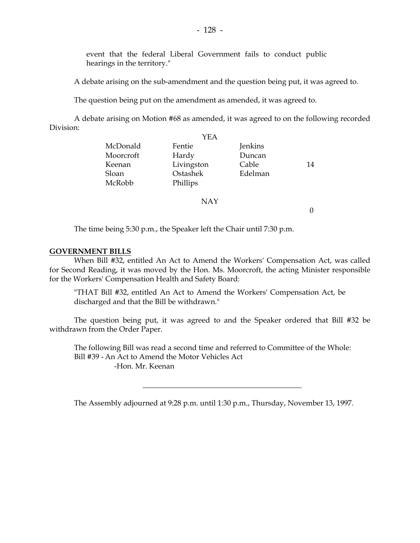event that the federal Liberal Government fails to conduct public hearings in the territory."

A debate arising on the sub-amendment and the question being put, it was agreed to.

The question being put on the amendment as amended, it was agreed to.

 A debate arising on Motion #68 as amended, it was agreed to on the following recorded Division:

|           | YEA        |         |    |
|-----------|------------|---------|----|
| McDonald  | Fentie     | Jenkins |    |
| Moorcroft | Hardy      | Duncan  |    |
| Keenan    | Livingston | Cable   | 14 |
| Sloan     | Ostashek   | Edelman |    |
| McRobb    | Phillips   |         |    |
|           |            |         |    |

NAY

 $\Omega$ 

The time being 5:30 p.m., the Speaker left the Chair until 7:30 p.m.

#### **GOVERNMENT BILLS**

 When Bill #32, entitled An Act to Amend the Workers' Compensation Act, was called for Second Reading, it was moved by the Hon. Ms. Moorcroft, the acting Minister responsible for the Workers' Compensation Health and Safety Board:

 "THAT Bill #32, entitled An Act to Amend the Workers' Compensation Act, be discharged and that the Bill be withdrawn."

 The question being put, it was agreed to and the Speaker ordered that Bill #32 be withdrawn from the Order Paper.

 The following Bill was read a second time and referred to Committee of the Whole: Bill #39 - An Act to Amend the Motor Vehicles Act -Hon. Mr. Keenan

The Assembly adjourned at 9:28 p.m. until 1:30 p.m., Thursday, November 13, 1997.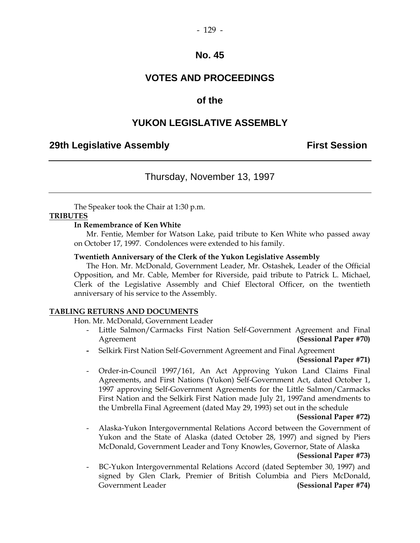### **VOTES AND PROCEEDINGS**

### **of the**

### **YUKON LEGISLATIVE ASSEMBLY**

### **29th Legislative Assembly Constructed Assembly Constructed Assembly** First Session

### Thursday, November 13, 1997

The Speaker took the Chair at 1:30 p.m.

#### **TRIBUTES**

#### **In Remembrance of Ken White**

 Mr. Fentie, Member for Watson Lake, paid tribute to Ken White who passed away on October 17, 1997. Condolences were extended to his family.

#### **Twentieth Anniversary of the Clerk of the Yukon Legislative Assembly**

The Hon. Mr. McDonald, Government Leader, Mr. Ostashek, Leader of the Official Opposition, and Mr. Cable, Member for Riverside, paid tribute to Patrick L. Michael, Clerk of the Legislative Assembly and Chief Electoral Officer, on the twentieth anniversary of his service to the Assembly.

#### **TABLING RETURNS AND DOCUMENTS**

Hon. Mr. McDonald, Government Leader

- Little Salmon/Carmacks First Nation Self-Government Agreement and Final Agreement **(Sessional Paper #70)**
- Selkirk First Nation Self-Government Agreement and Final Agreement **(Sessional Paper #71)**
- Order-in-Council 1997/161, An Act Approving Yukon Land Claims Final Agreements, and First Nations (Yukon) Self-Government Act, dated October 1, 1997 approving Self-Government Agreements for the Little Salmon/Carmacks First Nation and the Selkirk First Nation made July 21, 1997and amendments to the Umbrella Final Agreement (dated May 29, 1993) set out in the schedule

#### **(Sessional Paper #72)**

Alaska-Yukon Intergovernmental Relations Accord between the Government of Yukon and the State of Alaska (dated October 28, 1997) and signed by Piers McDonald, Government Leader and Tony Knowles, Governor, State of Alaska

#### **(Sessional Paper #73)**

 - BC-Yukon Intergovernmental Relations Accord (dated September 30, 1997) and signed by Glen Clark, Premier of British Columbia and Piers McDonald, Government Leader **(Sessional Paper #74)**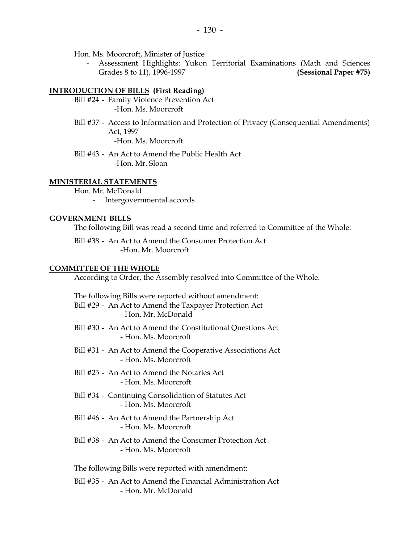Hon. Ms. Moorcroft, Minister of Justice

 - Assessment Highlights: Yukon Territorial Examinations (Math and Sciences Grades 8 to 11), 1996-1997 **(Sessional Paper #75)**

#### **INTRODUCTION OF BILLS (First Reading)**

- Bill #24 Family Violence Prevention Act -Hon. Ms. Moorcroft
- Bill #37 Access to Information and Protection of Privacy (Consequential Amendments) Act, 1997

-Hon. Ms. Moorcroft

 Bill #43 - An Act to Amend the Public Health Act -Hon. Mr. Sloan

#### **MINISTERIAL STATEMENTS**

Hon. Mr. McDonald

- Intergovernmental accords

#### **GOVERNMENT BILLS**

The following Bill was read a second time and referred to Committee of the Whole:

 Bill #38 - An Act to Amend the Consumer Protection Act -Hon. Mr. Moorcroft

#### **COMMITTEE OF THE WHOLE**

According to Order, the Assembly resolved into Committee of the Whole.

| The following Bills were reported without amendment:<br>Bill #29 - An Act to Amend the Taxpayer Protection Act<br>- Hon. Mr. McDonald |
|---------------------------------------------------------------------------------------------------------------------------------------|
| Bill #30 - An Act to Amend the Constitutional Questions Act<br>- Hon. Ms. Moorcroft                                                   |
| Bill #31 - An Act to Amend the Cooperative Associations Act<br>- Hon. Ms. Moorcroft                                                   |
| Bill #25 - An Act to Amend the Notaries Act<br>- Hon. Ms. Moorcroft                                                                   |
| Bill #34 - Continuing Consolidation of Statutes Act<br>- Hon. Ms. Moorcroft                                                           |
| Bill #46 - An Act to Amend the Partnership Act<br>- Hon. Ms. Moorcroft                                                                |
| Bill #38 - An Act to Amend the Consumer Protection Act<br>- Hon. Ms. Moorcroft                                                        |
| The following Bills were reported with amendment:                                                                                     |
| Bill #35 - An Act to Amend the Financial Administration Act<br>- Hon. Mr. McDonald                                                    |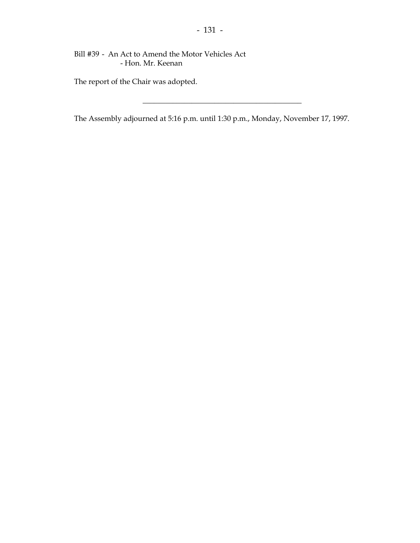Bill #39 - An Act to Amend the Motor Vehicles Act - Hon. Mr. Keenan

The report of the Chair was adopted.

The Assembly adjourned at 5:16 p.m. until 1:30 p.m., Monday, November 17, 1997.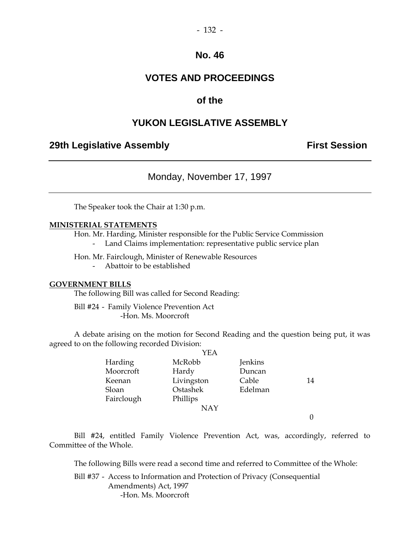### **VOTES AND PROCEEDINGS**

### **of the**

### **YUKON LEGISLATIVE ASSEMBLY**

### **29th Legislative Assembly Constructed Assembly** First Session

Monday, November 17, 1997

The Speaker took the Chair at 1:30 p.m.

#### **MINISTERIAL STATEMENTS**

Hon. Mr. Harding, Minister responsible for the Public Service Commission

- Land Claims implementation: representative public service plan

Hon. Mr. Fairclough, Minister of Renewable Resources

- Abattoir to be established

#### **GOVERNMENT BILLS**

The following Bill was called for Second Reading:

 Bill #24 - Family Violence Prevention Act -Hon. Ms. Moorcroft

 A debate arising on the motion for Second Reading and the question being put, it was agreed to on the following recorded Division:

|            | YEA        |         |    |
|------------|------------|---------|----|
| Harding    | McRobb     | Jenkins |    |
| Moorcroft  | Hardy      | Duncan  |    |
| Keenan     | Livingston | Cable   | 14 |
| Sloan      | Ostashek   | Edelman |    |
| Fairclough | Phillips   |         |    |
|            | <b>NAY</b> |         |    |
|            |            |         |    |

 Bill #24, entitled Family Violence Prevention Act, was, accordingly, referred to Committee of the Whole.

The following Bills were read a second time and referred to Committee of the Whole:

 Bill #37 - Access to Information and Protection of Privacy (Consequential Amendments) Act, 1997 -Hon. Ms. Moorcroft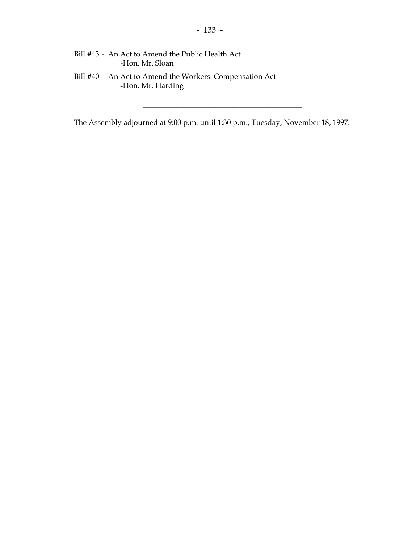- Bill #43 An Act to Amend the Public Health Act -Hon. Mr. Sloan
- Bill #40 An Act to Amend the Workers' Compensation Act -Hon. Mr. Harding

The Assembly adjourned at 9:00 p.m. until 1:30 p.m., Tuesday, November 18, 1997.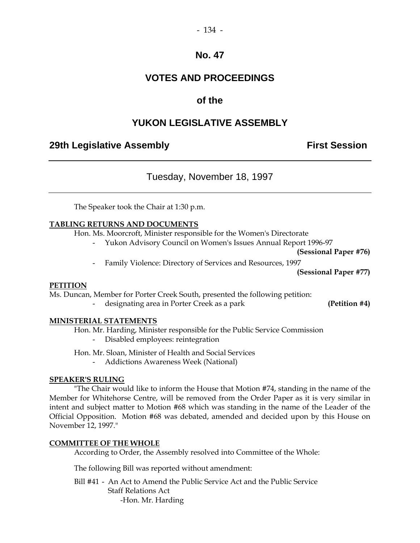### **VOTES AND PROCEEDINGS**

### **of the**

### **YUKON LEGISLATIVE ASSEMBLY**

### **29th Legislative Assembly Constructed Assembly** First Session

Tuesday, November 18, 1997

The Speaker took the Chair at 1:30 p.m.

#### **TABLING RETURNS AND DOCUMENTS**

Hon. Ms. Moorcroft, Minister responsible for the Women's Directorate

- Yukon Advisory Council on Women's Issues Annual Report 1996-97

**(Sessional Paper #76)** 

Family Violence: Directory of Services and Resources, 1997

**(Sessional Paper #77)** 

#### **PETITION**

Ms. Duncan, Member for Porter Creek South, presented the following petition:

- designating area in Porter Creek as a park **(Petition #4)** 

#### **MINISTERIAL STATEMENTS**

Hon. Mr. Harding, Minister responsible for the Public Service Commission

- Disabled employees: reintegration
- Hon. Mr. Sloan, Minister of Health and Social Services

Addictions Awareness Week (National)

#### **SPEAKER'S RULING**

 "The Chair would like to inform the House that Motion #74, standing in the name of the Member for Whitehorse Centre, will be removed from the Order Paper as it is very similar in intent and subject matter to Motion #68 which was standing in the name of the Leader of the Official Opposition. Motion #68 was debated, amended and decided upon by this House on November 12, 1997."

#### **COMMITTEE OF THE WHOLE**

According to Order, the Assembly resolved into Committee of the Whole:

The following Bill was reported without amendment:

 Bill #41 - An Act to Amend the Public Service Act and the Public Service Staff Relations Act -Hon. Mr. Harding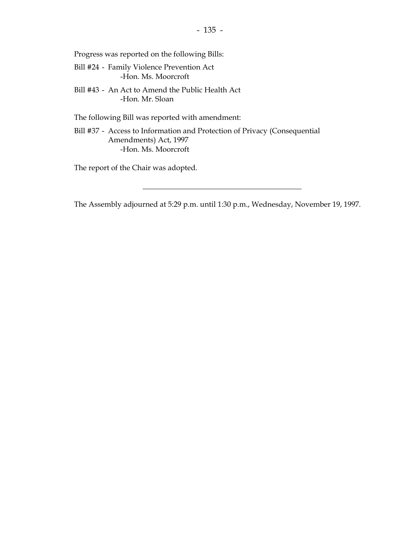Progress was reported on the following Bills:

- Bill #24 Family Violence Prevention Act -Hon. Ms. Moorcroft
- Bill #43 An Act to Amend the Public Health Act -Hon. Mr. Sloan

The following Bill was reported with amendment:

 Bill #37 - Access to Information and Protection of Privacy (Consequential Amendments) Act, 1997 -Hon. Ms. Moorcroft

The report of the Chair was adopted.

The Assembly adjourned at 5:29 p.m. until 1:30 p.m., Wednesday, November 19, 1997.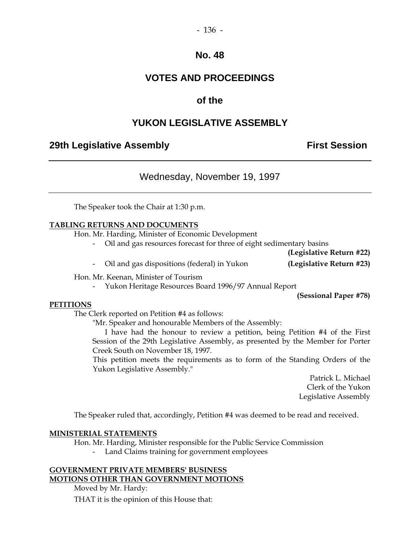#### - 136 -

### **No. 48**

### **VOTES AND PROCEEDINGS**

### **of the**

### **YUKON LEGISLATIVE ASSEMBLY**

### **29th Legislative Assembly Constructed Assembly** First Session

Wednesday, November 19, 1997

The Speaker took the Chair at 1:30 p.m.

#### **TABLING RETURNS AND DOCUMENTS**

Hon. Mr. Harding, Minister of Economic Development

- Oil and gas resources forecast for three of eight sedimentary basins

**(Legislative Return #22)** 

- Oil and gas dispositions (federal) in Yukon **(Legislative Return #23)** 

Hon. Mr. Keenan, Minister of Tourism

Yukon Heritage Resources Board 1996/97 Annual Report

**(Sessional Paper #78)** 

#### **PETITIONS**

The Clerk reported on Petition #4 as follows:

"Mr. Speaker and honourable Members of the Assembly:

 I have had the honour to review a petition, being Petition #4 of the First Session of the 29th Legislative Assembly, as presented by the Member for Porter Creek South on November 18, 1997.

 This petition meets the requirements as to form of the Standing Orders of the Yukon Legislative Assembly."

> Patrick L. Michael Clerk of the Yukon Legislative Assembly

The Speaker ruled that, accordingly, Petition #4 was deemed to be read and received.

#### **MINISTERIAL STATEMENTS**

Hon. Mr. Harding, Minister responsible for the Public Service Commission

Land Claims training for government employees

#### **GOVERNMENT PRIVATE MEMBERS' BUSINESS MOTIONS OTHER THAN GOVERNMENT MOTIONS**

Moved by Mr. Hardy:

THAT it is the opinion of this House that: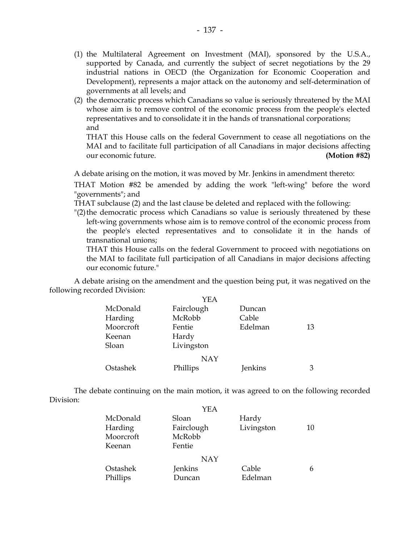- (1) the Multilateral Agreement on Investment (MAI), sponsored by the U.S.A., supported by Canada, and currently the subject of secret negotiations by the 29 industrial nations in OECD (the Organization for Economic Cooperation and Development), represents a major attack on the autonomy and self-determination of governments at all levels; and
- (2) the democratic process which Canadians so value is seriously threatened by the MAI whose aim is to remove control of the economic process from the people's elected representatives and to consolidate it in the hands of transnational corporations; and

 THAT this House calls on the federal Government to cease all negotiations on the MAI and to facilitate full participation of all Canadians in major decisions affecting our economic future. **(Motion #82)** 

A debate arising on the motion, it was moved by Mr. Jenkins in amendment thereto:

 THAT Motion #82 be amended by adding the work "left-wing" before the word "governments"; and

THAT subclause (2) and the last clause be deleted and replaced with the following:

 "(2) the democratic process which Canadians so value is seriously threatened by these left-wing governments whose aim is to remove control of the economic process from the people's elected representatives and to consolidate it in the hands of transnational unions;

 THAT this House calls on the federal Government to proceed with negotiations on the MAI to facilitate full participation of all Canadians in major decisions affecting our economic future."

 A debate arising on the amendment and the question being put, it was negatived on the following recorded Division:

|           | YEA        |         |    |
|-----------|------------|---------|----|
| McDonald  | Fairclough | Duncan  |    |
| Harding   | McRobb     | Cable   |    |
| Moorcroft | Fentie     | Edelman | 13 |
| Keenan    | Hardy      |         |    |
| Sloan     | Livingston |         |    |
|           | <b>NAY</b> |         |    |
| Ostashek  | Phillips   | Jenkins | З  |

 The debate continuing on the main motion, it was agreed to on the following recorded Division:

|                      | YEA               |                  |    |
|----------------------|-------------------|------------------|----|
| McDonald             | Sloan             | Hardy            |    |
| Harding              | Fairclough        | Livingston       | 10 |
| Moorcroft            | McRobb            |                  |    |
| Keenan               | Fentie            |                  |    |
|                      | <b>NAY</b>        |                  |    |
| Ostashek<br>Phillips | Jenkins<br>Duncan | Cable<br>Edelman | 6  |
|                      |                   |                  |    |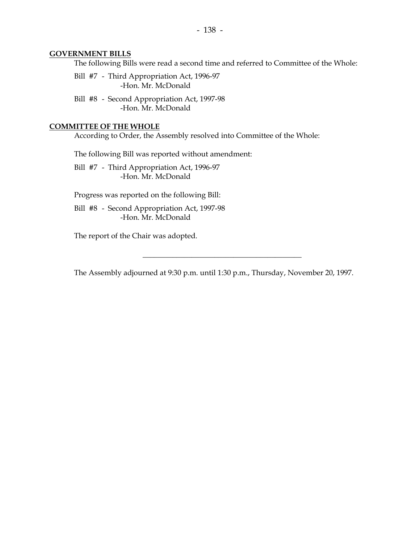#### **GOVERNMENT BILLS**

The following Bills were read a second time and referred to Committee of the Whole:

 Bill #7 - Third Appropriation Act, 1996-97 -Hon. Mr. McDonald

 Bill #8 - Second Appropriation Act, 1997-98 -Hon. Mr. McDonald

#### **COMMITTEE OF THE WHOLE**

According to Order, the Assembly resolved into Committee of the Whole:

The following Bill was reported without amendment:

 Bill #7 - Third Appropriation Act, 1996-97 -Hon. Mr. McDonald

Progress was reported on the following Bill:

 Bill #8 - Second Appropriation Act, 1997-98 -Hon. Mr. McDonald

The report of the Chair was adopted.

The Assembly adjourned at 9:30 p.m. until 1:30 p.m., Thursday, November 20, 1997.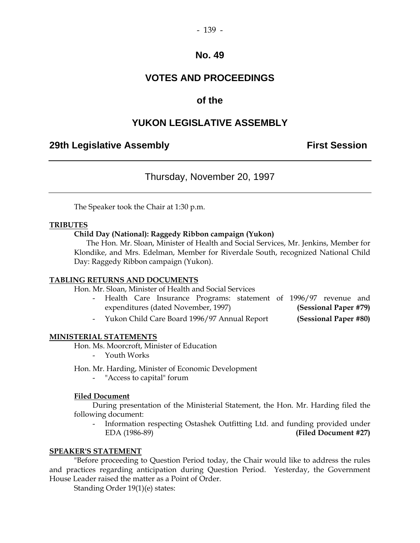### **VOTES AND PROCEEDINGS**

### **of the**

### **YUKON LEGISLATIVE ASSEMBLY**

### **29th Legislative Assembly Constructed Assembly** First Session

### Thursday, November 20, 1997

The Speaker took the Chair at 1:30 p.m.

#### **TRIBUTES**

#### **Child Day (National): Raggedy Ribbon campaign (Yukon)**

 The Hon. Mr. Sloan, Minister of Health and Social Services, Mr. Jenkins, Member for Klondike, and Mrs. Edelman, Member for Riverdale South, recognized National Child Day: Raggedy Ribbon campaign (Yukon).

#### **TABLING RETURNS AND DOCUMENTS**

Hon. Mr. Sloan, Minister of Health and Social Services

- Health Care Insurance Programs: statement of 1996/97 revenue and expenditures (dated November, 1997) **(Sessional Paper #79)**
- Yukon Child Care Board 1996/97 Annual Report **(Sessional Paper #80)**

#### **MINISTERIAL STATEMENTS**

Hon. Ms. Moorcroft, Minister of Education

- Youth Works

Hon. Mr. Harding, Minister of Economic Development

- "Access to capital" forum

#### **Filed Document**

 During presentation of the Ministerial Statement, the Hon. Mr. Harding filed the following document:

 - Information respecting Ostashek Outfitting Ltd. and funding provided under EDA (1986-89) **(Filed Document #27)** 

#### **SPEAKER'S STATEMENT**

"Before proceeding to Question Period today, the Chair would like to address the rules and practices regarding anticipation during Question Period. Yesterday, the Government House Leader raised the matter as a Point of Order.

Standing Order 19(1)(e) states: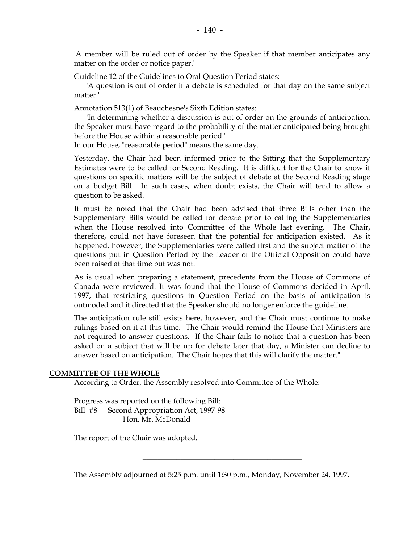'A member will be ruled out of order by the Speaker if that member anticipates any matter on the order or notice paper.'

Guideline 12 of the Guidelines to Oral Question Period states:

 'A question is out of order if a debate is scheduled for that day on the same subject matter.'

Annotation 513(1) of Beauchesne's Sixth Edition states:

 'In determining whether a discussion is out of order on the grounds of anticipation, the Speaker must have regard to the probability of the matter anticipated being brought before the House within a reasonable period.'

In our House, "reasonable period" means the same day.

Yesterday, the Chair had been informed prior to the Sitting that the Supplementary Estimates were to be called for Second Reading. It is difficult for the Chair to know if questions on specific matters will be the subject of debate at the Second Reading stage on a budget Bill. In such cases, when doubt exists, the Chair will tend to allow a question to be asked.

It must be noted that the Chair had been advised that three Bills other than the Supplementary Bills would be called for debate prior to calling the Supplementaries when the House resolved into Committee of the Whole last evening. The Chair, therefore, could not have foreseen that the potential for anticipation existed. As it happened, however, the Supplementaries were called first and the subject matter of the questions put in Question Period by the Leader of the Official Opposition could have been raised at that time but was not.

As is usual when preparing a statement, precedents from the House of Commons of Canada were reviewed. It was found that the House of Commons decided in April, 1997, that restricting questions in Question Period on the basis of anticipation is outmoded and it directed that the Speaker should no longer enforce the guideline.

The anticipation rule still exists here, however, and the Chair must continue to make rulings based on it at this time. The Chair would remind the House that Ministers are not required to answer questions. If the Chair fails to notice that a question has been asked on a subject that will be up for debate later that day, a Minister can decline to answer based on anticipation. The Chair hopes that this will clarify the matter."

#### **COMMITTEE OF THE WHOLE**

According to Order, the Assembly resolved into Committee of the Whole:

 Progress was reported on the following Bill: Bill #8 - Second Appropriation Act, 1997-98 -Hon. Mr. McDonald

The report of the Chair was adopted.

The Assembly adjourned at 5:25 p.m. until 1:30 p.m., Monday, November 24, 1997.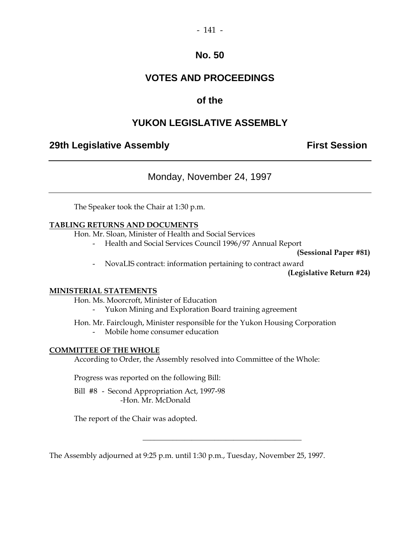### - 141 -

### **No. 50**

### **VOTES AND PROCEEDINGS**

### **of the**

### **YUKON LEGISLATIVE ASSEMBLY**

### **29th Legislative Assembly Constructed Assembly** First Session

Monday, November 24, 1997

The Speaker took the Chair at 1:30 p.m.

#### **TABLING RETURNS AND DOCUMENTS**

Hon. Mr. Sloan, Minister of Health and Social Services

- Health and Social Services Council 1996/97 Annual Report

 **(Sessional Paper #81)** 

- NovaLIS contract: information pertaining to contract award

**(Legislative Return #24)** 

#### **MINISTERIAL STATEMENTS**

Hon. Ms. Moorcroft, Minister of Education

- Yukon Mining and Exploration Board training agreement

Hon. Mr. Fairclough, Minister responsible for the Yukon Housing Corporation

- Mobile home consumer education

#### **COMMITTEE OF THE WHOLE**

According to Order, the Assembly resolved into Committee of the Whole:

Progress was reported on the following Bill:

 Bill #8 - Second Appropriation Act, 1997-98 -Hon. Mr. McDonald

The report of the Chair was adopted.

The Assembly adjourned at 9:25 p.m. until 1:30 p.m., Tuesday, November 25, 1997.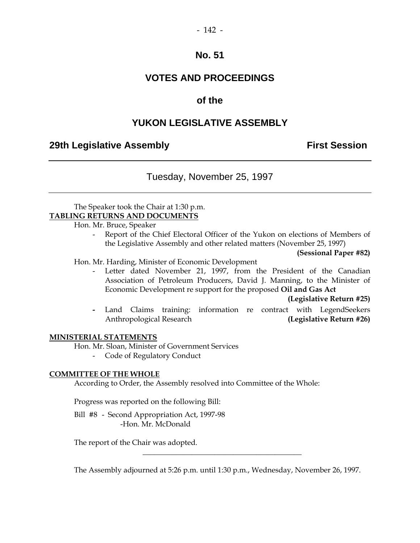## **VOTES AND PROCEEDINGS**

### **of the**

### **YUKON LEGISLATIVE ASSEMBLY**

### **29th Legislative Assembly Constructed Assembly** First Session

Tuesday, November 25, 1997

 The Speaker took the Chair at 1:30 p.m. **TABLING RETURNS AND DOCUMENTS**

Hon. Mr. Bruce, Speaker

 - Report of the Chief Electoral Officer of the Yukon on elections of Members of the Legislative Assembly and other related matters (November 25, 1997)

 **(Sessional Paper #82)** 

#### Hon. Mr. Harding, Minister of Economic Development

 - Letter dated November 21, 1997, from the President of the Canadian Association of Petroleum Producers, David J. Manning, to the Minister of Economic Development re support for the proposed **Oil and Gas Act** 

 **(Legislative Return #25)** 

 **-** Land Claims training: information re contract with LegendSeekers Anthropological Research **(Legislative Return #26)**

#### **MINISTERIAL STATEMENTS**

Hon. Mr. Sloan, Minister of Government Services

- Code of Regulatory Conduct

#### **COMMITTEE OF THE WHOLE**

According to Order, the Assembly resolved into Committee of the Whole:

Progress was reported on the following Bill:

 Bill #8 - Second Appropriation Act, 1997-98 -Hon. Mr. McDonald

The report of the Chair was adopted.

The Assembly adjourned at 5:26 p.m. until 1:30 p.m., Wednesday, November 26, 1997.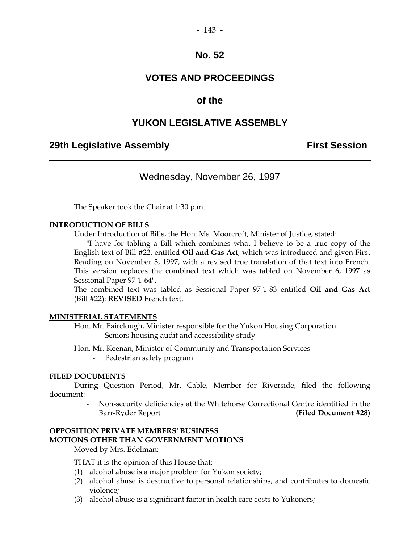### **VOTES AND PROCEEDINGS**

### **of the**

### **YUKON LEGISLATIVE ASSEMBLY**

### **29th Legislative Assembly Constructed Assembly** First Session

Wednesday, November 26, 1997

The Speaker took the Chair at 1:30 p.m.

#### **INTRODUCTION OF BILLS**

Under Introduction of Bills, the Hon. Ms. Moorcroft, Minister of Justice, stated:

 "I have for tabling a Bill which combines what I believe to be a true copy of the English text of Bill #22, entitled **Oil and Gas Act**, which was introduced and given First Reading on November 3, 1997, with a revised true translation of that text into French. This version replaces the combined text which was tabled on November 6, 1997 as Sessional Paper 97-1-64".

 The combined text was tabled as Sessional Paper 97-1-83 entitled **Oil and Gas Act** (Bill #22): **REVISED** French text.

#### **MINISTERIAL STATEMENTS**

- Hon. Mr. Fairclough, Minister responsible for the Yukon Housing Corporation Seniors housing audit and accessibility study
- Hon. Mr. Keenan, Minister of Community and Transportation Services
	- Pedestrian safety program

#### **FILED DOCUMENTS**

 During Question Period, Mr. Cable, Member for Riverside, filed the following document:

> - Non-security deficiencies at the Whitehorse Correctional Centre identified in the Barr-Ryder Report **(Filed Document #28)**

### **OPPOSITION PRIVATE MEMBERS' BUSINESS**

#### **MOTIONS OTHER THAN GOVERNMENT MOTIONS**

Moved by Mrs. Edelman:

THAT it is the opinion of this House that:

- (1) alcohol abuse is a major problem for Yukon society;
- (2) alcohol abuse is destructive to personal relationships, and contributes to domestic violence;
- (3) alcohol abuse is a significant factor in health care costs to Yukoners;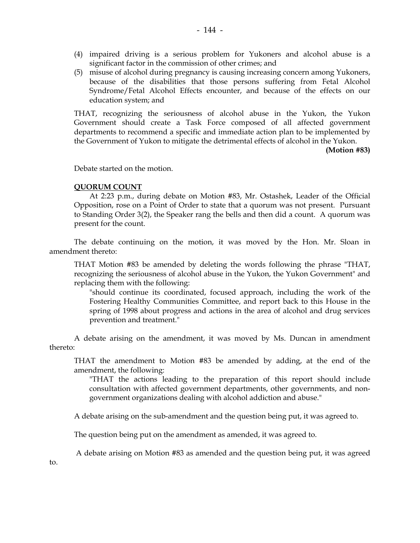- (4) impaired driving is a serious problem for Yukoners and alcohol abuse is a significant factor in the commission of other crimes; and
- (5) misuse of alcohol during pregnancy is causing increasing concern among Yukoners, because of the disabilities that those persons suffering from Fetal Alcohol Syndrome/Fetal Alcohol Effects encounter, and because of the effects on our education system; and

 THAT, recognizing the seriousness of alcohol abuse in the Yukon, the Yukon Government should create a Task Force composed of all affected government departments to recommend a specific and immediate action plan to be implemented by the Government of Yukon to mitigate the detrimental effects of alcohol in the Yukon.

 **(Motion #83)** 

Debate started on the motion.

#### **QUORUM COUNT**

 At 2:23 p.m., during debate on Motion #83, Mr. Ostashek, Leader of the Official Opposition, rose on a Point of Order to state that a quorum was not present. Pursuant to Standing Order 3(2), the Speaker rang the bells and then did a count. A quorum was present for the count.

 The debate continuing on the motion, it was moved by the Hon. Mr. Sloan in amendment thereto:

 THAT Motion #83 be amended by deleting the words following the phrase "THAT, recognizing the seriousness of alcohol abuse in the Yukon, the Yukon Government" and replacing them with the following:

 "should continue its coordinated, focused approach, including the work of the Fostering Healthy Communities Committee, and report back to this House in the spring of 1998 about progress and actions in the area of alcohol and drug services prevention and treatment."

 A debate arising on the amendment, it was moved by Ms. Duncan in amendment thereto:

 THAT the amendment to Motion #83 be amended by adding, at the end of the amendment, the following:

 "THAT the actions leading to the preparation of this report should include consultation with affected government departments, other governments, and nongovernment organizations dealing with alcohol addiction and abuse."

A debate arising on the sub-amendment and the question being put, it was agreed to.

The question being put on the amendment as amended, it was agreed to.

A debate arising on Motion #83 as amended and the question being put, it was agreed

to.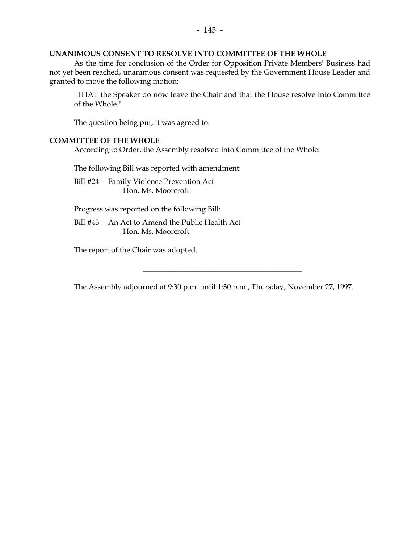#### **UNANIMOUS CONSENT TO RESOLVE INTO COMMITTEE OF THE WHOLE**

 As the time for conclusion of the Order for Opposition Private Members' Business had not yet been reached, unanimous consent was requested by the Government House Leader and granted to move the following motion:

 "THAT the Speaker do now leave the Chair and that the House resolve into Committee of the Whole."

The question being put, it was agreed to.

#### **COMMITTEE OF THE WHOLE**

According to Order, the Assembly resolved into Committee of the Whole:

The following Bill was reported with amendment:

 Bill #24 - Family Violence Prevention Act -Hon. Ms. Moorcroft

Progress was reported on the following Bill:

 Bill #43 - An Act to Amend the Public Health Act -Hon. Ms. Moorcroft

The report of the Chair was adopted.

The Assembly adjourned at 9:30 p.m. until 1:30 p.m., Thursday, November 27, 1997.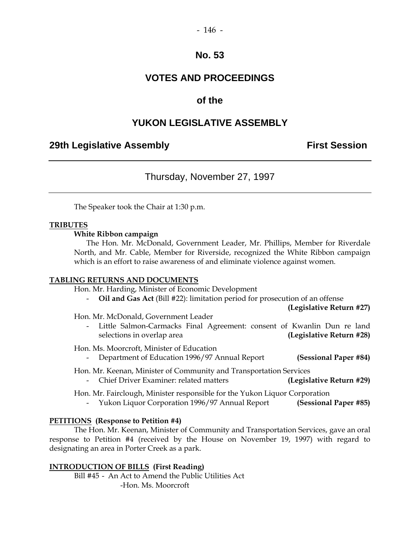### **VOTES AND PROCEEDINGS**

### **of the**

### **YUKON LEGISLATIVE ASSEMBLY**

### **29th Legislative Assembly Constructed Assembly** First Session

### Thursday, November 27, 1997

The Speaker took the Chair at 1:30 p.m.

#### **TRIBUTES**

#### **White Ribbon campaign**

 The Hon. Mr. McDonald, Government Leader, Mr. Phillips, Member for Riverdale North, and Mr. Cable, Member for Riverside, recognized the White Ribbon campaign which is an effort to raise awareness of and eliminate violence against women.

#### **TABLING RETURNS AND DOCUMENTS**

Hon. Mr. Harding, Minister of Economic Development

- **Oil and Gas Act** (Bill #22): limitation period for prosecution of an offense

**(Legislative Return #27)** 

Hon. Mr. McDonald, Government Leader

Little Salmon-Carmacks Final Agreement: consent of Kwanlin Dun re land selections in overlap area **(Legislative Return #28)** 

Hon. Ms. Moorcroft, Minister of Education

- Department of Education 1996/97 Annual Report **(Sessional Paper #84)** 

Hon. Mr. Keenan, Minister of Community and Transportation Services

- Chief Driver Examiner: related matters **(Legislative Return #29)** 

Hon. Mr. Fairclough, Minister responsible for the Yukon Liquor Corporation

- Yukon Liquor Corporation 1996/97 Annual Report **(Sessional Paper #85)** 

#### **PETITIONS (Response to Petition #4)**

 The Hon. Mr. Keenan, Minister of Community and Transportation Services, gave an oral response to Petition #4 (received by the House on November 19, 1997) with regard to designating an area in Porter Creek as a park.

#### **INTRODUCTION OF BILLS (First Reading)**

 Bill #45 - An Act to Amend the Public Utilities Act -Hon. Ms. Moorcroft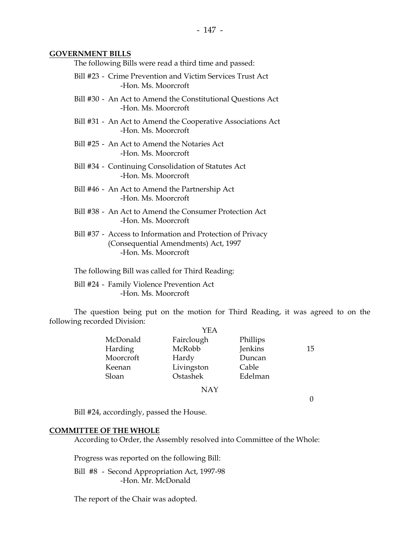#### **GOVERNMENT BILLS**

The following Bills were read a third time and passed:

- Bill #23 Crime Prevention and Victim Services Trust Act -Hon. Ms. Moorcroft
- Bill #30 An Act to Amend the Constitutional Questions Act -Hon. Ms. Moorcroft
- Bill #31 An Act to Amend the Cooperative Associations Act -Hon. Ms. Moorcroft
- Bill #25 An Act to Amend the Notaries Act -Hon. Ms. Moorcroft
- Bill #34 Continuing Consolidation of Statutes Act -Hon. Ms. Moorcroft
- Bill #46 An Act to Amend the Partnership Act -Hon. Ms. Moorcroft
- Bill #38 An Act to Amend the Consumer Protection Act -Hon. Ms. Moorcroft
- Bill #37 Access to Information and Protection of Privacy (Consequential Amendments) Act, 1997 -Hon. Ms. Moorcroft

The following Bill was called for Third Reading:

 Bill #24 - Family Violence Prevention Act -Hon. Ms. Moorcroft

 The question being put on the motion for Third Reading, it was agreed to on the following recorded Division:

|           | YEA        |          |    |
|-----------|------------|----------|----|
| McDonald  | Fairclough | Phillips |    |
| Harding   | McRobb     | Jenkins  | 15 |
| Moorcroft | Hardy      | Duncan   |    |
| Keenan    | Livingston | Cable    |    |
| Sloan     | Ostashek   | Edelman  |    |
|           | <b>NAY</b> |          |    |
|           |            |          |    |

Bill #24, accordingly, passed the House.

#### **COMMITTEE OF THE WHOLE**

According to Order, the Assembly resolved into Committee of the Whole:

Progress was reported on the following Bill:

 Bill #8 - Second Appropriation Act, 1997-98 -Hon. Mr. McDonald

The report of the Chair was adopted.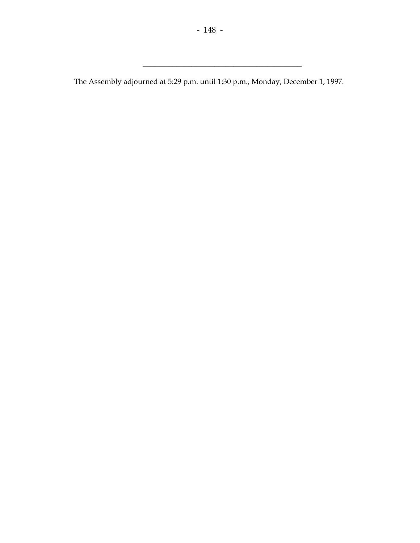\_\_\_\_\_\_\_\_\_\_\_\_\_\_\_\_\_\_\_\_\_\_\_\_\_\_\_\_\_\_\_\_\_\_\_\_\_\_\_\_\_\_

The Assembly adjourned at 5:29 p.m. until 1:30 p.m., Monday, December 1, 1997.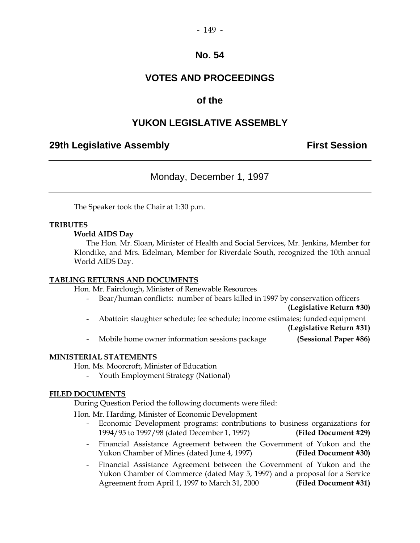# **VOTES AND PROCEEDINGS**

## **of the**

## **YUKON LEGISLATIVE ASSEMBLY**

### **29th Legislative Assembly Constructed Assembly Constructed Assembly** First Session

Monday, December 1, 1997

The Speaker took the Chair at 1:30 p.m.

#### **TRIBUTES**

 **World AIDS Day** 

 The Hon. Mr. Sloan, Minister of Health and Social Services, Mr. Jenkins, Member for Klondike, and Mrs. Edelman, Member for Riverdale South, recognized the 10th annual World AIDS Day.

#### **TABLING RETURNS AND DOCUMENTS**

Hon. Mr. Fairclough, Minister of Renewable Resources

- Bear/human conflicts: number of bears killed in 1997 by conservation officers

**(Legislative Return #30)** 

- Abattoir: slaughter schedule; fee schedule; income estimates; funded equipment

**(Legislative Return #31)** 

- Mobile home owner information sessions package **(Sessional Paper #86)** 

#### **MINISTERIAL STATEMENTS**

Hon. Ms. Moorcroft, Minister of Education

Youth Employment Strategy (National)

#### **FILED DOCUMENTS**

During Question Period the following documents were filed:

Hon. Mr. Harding, Minister of Economic Development

- Economic Development programs: contributions to business organizations for 1994/95 to 1997/98 (dated December 1, 1997) **(Filed Document #29)**
- Financial Assistance Agreement between the Government of Yukon and the Yukon Chamber of Mines (dated June 4, 1997) **(Filed Document #30)**
- Financial Assistance Agreement between the Government of Yukon and the Yukon Chamber of Commerce (dated May 5, 1997) and a proposal for a Service Agreement from April 1, 1997 to March 31, 2000 **(Filed Document #31)**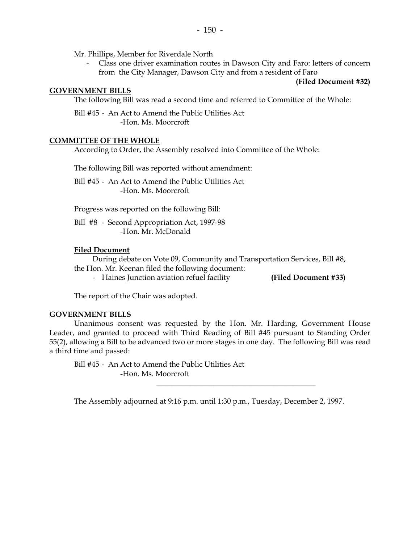Mr. Phillips, Member for Riverdale North

 - Class one driver examination routes in Dawson City and Faro: letters of concern from the City Manager, Dawson City and from a resident of Faro

**(Filed Document #32)** 

#### **GOVERNMENT BILLS**

The following Bill was read a second time and referred to Committee of the Whole:

 Bill #45 - An Act to Amend the Public Utilities Act -Hon. Ms. Moorcroft

#### **COMMITTEE OF THE WHOLE**

According to Order, the Assembly resolved into Committee of the Whole:

The following Bill was reported without amendment:

 Bill #45 - An Act to Amend the Public Utilities Act -Hon. Ms. Moorcroft

Progress was reported on the following Bill:

 Bill #8 - Second Appropriation Act, 1997-98 -Hon. Mr. McDonald

#### **Filed Document**

 During debate on Vote 09, Community and Transportation Services, Bill #8, the Hon. Mr. Keenan filed the following document:

- Haines Junction aviation refuel facility **(Filed Document #33)**

The report of the Chair was adopted.

#### **GOVERNMENT BILLS**

 Unanimous consent was requested by the Hon. Mr. Harding, Government House Leader, and granted to proceed with Third Reading of Bill #45 pursuant to Standing Order 55(2), allowing a Bill to be advanced two or more stages in one day. The following Bill was read a third time and passed:

 Bill #45 - An Act to Amend the Public Utilities Act -Hon. Ms. Moorcroft

The Assembly adjourned at 9:16 p.m. until 1:30 p.m., Tuesday, December 2, 1997.

 $\frac{1}{\sqrt{2}}$  ,  $\frac{1}{\sqrt{2}}$  ,  $\frac{1}{\sqrt{2}}$  ,  $\frac{1}{\sqrt{2}}$  ,  $\frac{1}{\sqrt{2}}$  ,  $\frac{1}{\sqrt{2}}$  ,  $\frac{1}{\sqrt{2}}$  ,  $\frac{1}{\sqrt{2}}$  ,  $\frac{1}{\sqrt{2}}$  ,  $\frac{1}{\sqrt{2}}$  ,  $\frac{1}{\sqrt{2}}$  ,  $\frac{1}{\sqrt{2}}$  ,  $\frac{1}{\sqrt{2}}$  ,  $\frac{1}{\sqrt{2}}$  ,  $\frac{1}{\sqrt{2}}$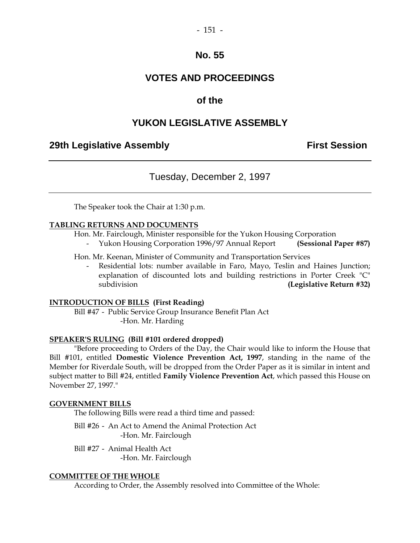# **VOTES AND PROCEEDINGS**

## **of the**

## **YUKON LEGISLATIVE ASSEMBLY**

### **29th Legislative Assembly Constructed Assembly Constructed Assembly** First Session

Tuesday, December 2, 1997

The Speaker took the Chair at 1:30 p.m.

#### **TABLING RETURNS AND DOCUMENTS**

Hon. Mr. Fairclough, Minister responsible for the Yukon Housing Corporation

- Yukon Housing Corporation 1996/97 Annual Report **(Sessional Paper #87)** 

Hon. Mr. Keenan, Minister of Community and Transportation Services

Residential lots: number available in Faro, Mayo, Teslin and Haines Junction; explanation of discounted lots and building restrictions in Porter Creek "C" subdivision **(Legislative Return #32)** 

#### **INTRODUCTION OF BILLS (First Reading)**

 Bill #47 - Public Service Group Insurance Benefit Plan Act -Hon. Mr. Harding

#### **SPEAKER'S RULING (Bill #101 ordered dropped)**

 "Before proceeding to Orders of the Day, the Chair would like to inform the House that Bill #101, entitled **Domestic Violence Prevention Act, 1997**, standing in the name of the Member for Riverdale South, will be dropped from the Order Paper as it is similar in intent and subject matter to Bill #24, entitled **Family Violence Prevention Act**, which passed this House on November 27, 1997."

#### **GOVERNMENT BILLS**

The following Bills were read a third time and passed:

 Bill #26 - An Act to Amend the Animal Protection Act -Hon. Mr. Fairclough

 Bill #27 - Animal Health Act -Hon. Mr. Fairclough

#### **COMMITTEE OF THE WHOLE**

According to Order, the Assembly resolved into Committee of the Whole: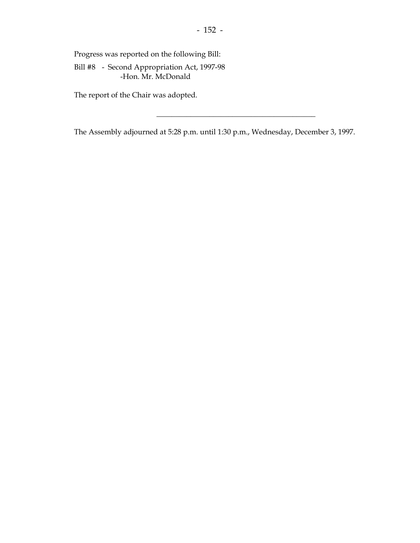Progress was reported on the following Bill:

 Bill #8 - Second Appropriation Act, 1997-98 -Hon. Mr. McDonald

The report of the Chair was adopted.

The Assembly adjourned at 5:28 p.m. until 1:30 p.m., Wednesday, December 3, 1997.

 $\frac{1}{\sqrt{2}}$  ,  $\frac{1}{\sqrt{2}}$  ,  $\frac{1}{\sqrt{2}}$  ,  $\frac{1}{\sqrt{2}}$  ,  $\frac{1}{\sqrt{2}}$  ,  $\frac{1}{\sqrt{2}}$  ,  $\frac{1}{\sqrt{2}}$  ,  $\frac{1}{\sqrt{2}}$  ,  $\frac{1}{\sqrt{2}}$  ,  $\frac{1}{\sqrt{2}}$  ,  $\frac{1}{\sqrt{2}}$  ,  $\frac{1}{\sqrt{2}}$  ,  $\frac{1}{\sqrt{2}}$  ,  $\frac{1}{\sqrt{2}}$  ,  $\frac{1}{\sqrt{2}}$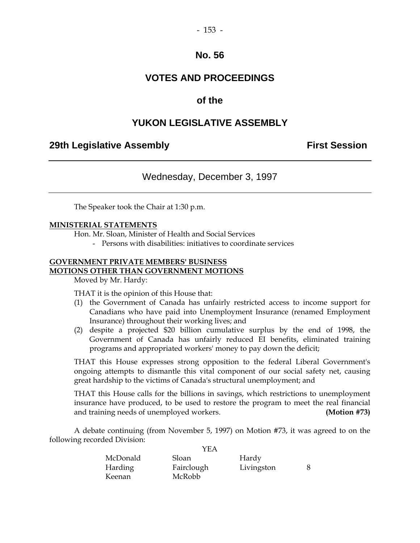# **VOTES AND PROCEEDINGS**

## **of the**

## **YUKON LEGISLATIVE ASSEMBLY**

### **29th Legislative Assembly Constructed Assembly Constructed Assembly** First Session

# Wednesday, December 3, 1997

The Speaker took the Chair at 1:30 p.m.

#### **MINISTERIAL STATEMENTS**

Hon. Mr. Sloan, Minister of Health and Social Services

- Persons with disabilities: initiatives to coordinate services

### **GOVERNMENT PRIVATE MEMBERS' BUSINESS MOTIONS OTHER THAN GOVERNMENT MOTIONS**

Moved by Mr. Hardy:

THAT it is the opinion of this House that:

- (1) the Government of Canada has unfairly restricted access to income support for Canadians who have paid into Unemployment Insurance (renamed Employment Insurance) throughout their working lives; and
- (2) despite a projected \$20 billion cumulative surplus by the end of 1998, the Government of Canada has unfairly reduced EI benefits, eliminated training programs and appropriated workers' money to pay down the deficit;

 THAT this House expresses strong opposition to the federal Liberal Government's ongoing attempts to dismantle this vital component of our social safety net, causing great hardship to the victims of Canada's structural unemployment; and

 THAT this House calls for the billions in savings, which restrictions to unemployment insurance have produced, to be used to restore the program to meet the real financial and training needs of unemployed workers. **(Motion #73)**

 A debate continuing (from November 5, 1997) on Motion #73, it was agreed to on the following recorded Division:  $Y^{\Gamma}$ 

|                | YEA        |            |  |
|----------------|------------|------------|--|
| McDonald       | Sloan      | Hardy      |  |
| <b>Harding</b> | Fairclough | Livingston |  |
| Keenan         | McRobb     |            |  |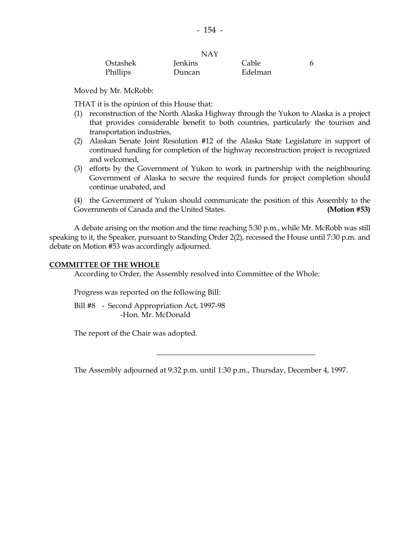|          | NAY     |         |  |
|----------|---------|---------|--|
| Ostashek | Jenkins | Cable   |  |
| Phillips | Duncan  | Edelman |  |

 $X^T A X$ 

Moved by Mr. McRobb:

THAT it is the opinion of this House that:

- (1) reconstruction of the North Alaska Highway through the Yukon to Alaska is a project that provides considerable benefit to both countries, particularly the tourism and transportation industries,
- (2) Alaskan Senate Joint Resolution #12 of the Alaska State Legislature in support of continued funding for completion of the highway reconstruction project is recognized and welcomed,
- (3) efforts by the Government of Yukon to work in partnership with the neighbouring Government of Alaska to secure the required funds for project completion should continue unabated, and

 (4) the Government of Yukon should communicate the position of this Assembly to the Governments of Canada and the United States. **(Motion #53)** 

 A debate arising on the motion and the time reaching 5:30 p.m., while Mr. McRobb was still speaking to it, the Speaker, pursuant to Standing Order 2(2), recessed the House until 7:30 p.m. and debate on Motion #53 was accordingly adjourned.

#### **COMMITTEE OF THE WHOLE**

According to Order, the Assembly resolved into Committee of the Whole:

Progress was reported on the following Bill:

 Bill #8 - Second Appropriation Act, 1997-98 -Hon. Mr. McDonald

The report of the Chair was adopted.

The Assembly adjourned at 9:32 p.m. until 1:30 p.m., Thursday, December 4, 1997.

 $\frac{1}{\sqrt{2}}$  ,  $\frac{1}{\sqrt{2}}$  ,  $\frac{1}{\sqrt{2}}$  ,  $\frac{1}{\sqrt{2}}$  ,  $\frac{1}{\sqrt{2}}$  ,  $\frac{1}{\sqrt{2}}$  ,  $\frac{1}{\sqrt{2}}$  ,  $\frac{1}{\sqrt{2}}$  ,  $\frac{1}{\sqrt{2}}$  ,  $\frac{1}{\sqrt{2}}$  ,  $\frac{1}{\sqrt{2}}$  ,  $\frac{1}{\sqrt{2}}$  ,  $\frac{1}{\sqrt{2}}$  ,  $\frac{1}{\sqrt{2}}$  ,  $\frac{1}{\sqrt{2}}$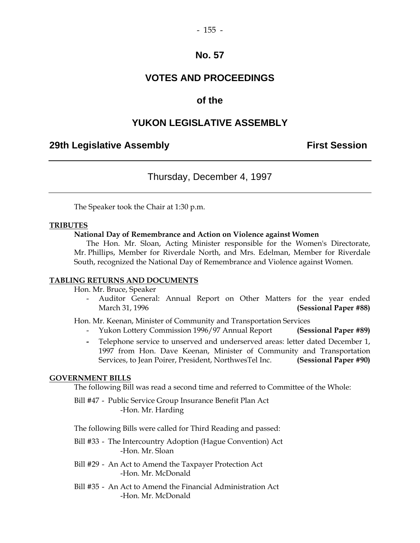# **VOTES AND PROCEEDINGS**

## **of the**

## **YUKON LEGISLATIVE ASSEMBLY**

### **29th Legislative Assembly Constructed Assembly Constructed Assembly** First Session

Thursday, December 4, 1997

The Speaker took the Chair at 1:30 p.m.

#### **TRIBUTES**

#### **National Day of Remembrance and Action on Violence against Women**

 The Hon. Mr. Sloan, Acting Minister responsible for the Women's Directorate, Mr. Phillips, Member for Riverdale North, and Mrs. Edelman, Member for Riverdale South, recognized the National Day of Remembrance and Violence against Women.

#### **TABLING RETURNS AND DOCUMENTS**

Hon. Mr. Bruce, Speaker

 - Auditor General: Annual Report on Other Matters for the year ended March 31, 1996 **(Sessional Paper #88)** 

Hon. Mr. Keenan, Minister of Community and Transportation Services

- Yukon Lottery Commission 1996/97 Annual Report **(Sessional Paper #89)**
- Telephone service to unserved and underserved areas: letter dated December 1, 1997 from Hon. Dave Keenan, Minister of Community and Transportation Services, to Jean Poirer, President, NorthwesTel Inc. **(Sessional Paper #90)**

#### **GOVERNMENT BILLS**

The following Bill was read a second time and referred to Committee of the Whole:

 Bill #47 - Public Service Group Insurance Benefit Plan Act -Hon. Mr. Harding

The following Bills were called for Third Reading and passed:

- Bill #33 The Intercountry Adoption (Hague Convention) Act -Hon. Mr. Sloan
- Bill #29 An Act to Amend the Taxpayer Protection Act -Hon. Mr. McDonald
- Bill #35 An Act to Amend the Financial Administration Act -Hon. Mr. McDonald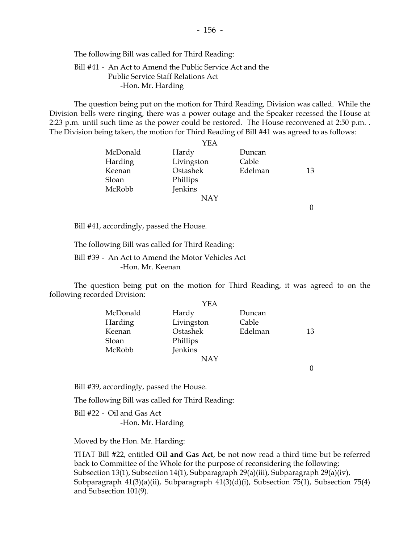The following Bill was called for Third Reading:

### Bill #41 - An Act to Amend the Public Service Act and the Public Service Staff Relations Act -Hon. Mr. Harding

 The question being put on the motion for Third Reading, Division was called. While the Division bells were ringing, there was a power outage and the Speaker recessed the House at 2:23 p.m. until such time as the power could be restored. The House reconvened at 2:50 p.m. . The Division being taken, the motion for Third Reading of Bill #41 was agreed to as follows:

|          | YEA        |         |    |
|----------|------------|---------|----|
| McDonald | Hardy      | Duncan  |    |
| Harding  | Livingston | Cable   |    |
| Keenan   | Ostashek   | Edelman | 13 |
| Sloan    | Phillips   |         |    |
| McRobb   | Jenkins    |         |    |
|          | <b>NAY</b> |         |    |
|          |            |         |    |

Bill #41, accordingly, passed the House.

The following Bill was called for Third Reading:

 Bill #39 - An Act to Amend the Motor Vehicles Act -Hon. Mr. Keenan

 The question being put on the motion for Third Reading, it was agreed to on the following recorded Division:

|          | YEA        |         |    |
|----------|------------|---------|----|
| McDonald | Hardy      | Duncan  |    |
| Harding  | Livingston | Cable   |    |
| Keenan   | Ostashek   | Edelman | 13 |
| Sloan    | Phillips   |         |    |
| McRobb   | Jenkins    |         |    |
|          | <b>NAY</b> |         |    |

0

Bill #39, accordingly, passed the House.

The following Bill was called for Third Reading:

 Bill #22 - Oil and Gas Act -Hon. Mr. Harding

Moved by the Hon. Mr. Harding:

 THAT Bill #22, entitled **Oil and Gas Act**, be not now read a third time but be referred back to Committee of the Whole for the purpose of reconsidering the following: Subsection 13(1), Subsection 14(1), Subparagraph 29(a)(iii), Subparagraph 29(a)(iv), Subparagraph 41(3)(a)(ii), Subparagraph 41(3)(d)(i), Subsection 75(1), Subsection 75(4) and Subsection 101(9).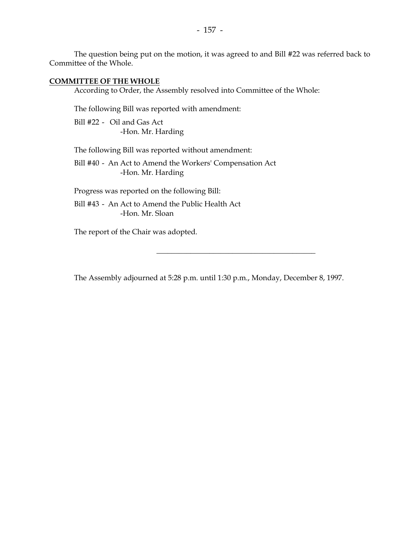The question being put on the motion, it was agreed to and Bill #22 was referred back to Committee of the Whole.

#### **COMMITTEE OF THE WHOLE**

According to Order, the Assembly resolved into Committee of the Whole:

The following Bill was reported with amendment:

 Bill #22 - Oil and Gas Act -Hon. Mr. Harding

The following Bill was reported without amendment:

 Bill #40 - An Act to Amend the Workers' Compensation Act -Hon. Mr. Harding

Progress was reported on the following Bill:

 Bill #43 - An Act to Amend the Public Health Act -Hon. Mr. Sloan

The report of the Chair was adopted.

The Assembly adjourned at 5:28 p.m. until 1:30 p.m., Monday, December 8, 1997.

 $\frac{1}{\sqrt{2}}$  ,  $\frac{1}{\sqrt{2}}$  ,  $\frac{1}{\sqrt{2}}$  ,  $\frac{1}{\sqrt{2}}$  ,  $\frac{1}{\sqrt{2}}$  ,  $\frac{1}{\sqrt{2}}$  ,  $\frac{1}{\sqrt{2}}$  ,  $\frac{1}{\sqrt{2}}$  ,  $\frac{1}{\sqrt{2}}$  ,  $\frac{1}{\sqrt{2}}$  ,  $\frac{1}{\sqrt{2}}$  ,  $\frac{1}{\sqrt{2}}$  ,  $\frac{1}{\sqrt{2}}$  ,  $\frac{1}{\sqrt{2}}$  ,  $\frac{1}{\sqrt{2}}$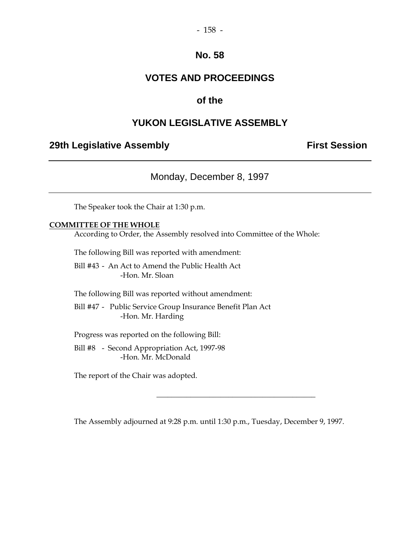# **VOTES AND PROCEEDINGS**

# **of the**

# **YUKON LEGISLATIVE ASSEMBLY**

## **29th Legislative Assembly Constructed Assembly** First Session

Monday, December 8, 1997

The Speaker took the Chair at 1:30 p.m.

#### **COMMITTEE OF THE WHOLE**

According to Order, the Assembly resolved into Committee of the Whole:

The following Bill was reported with amendment:

 Bill #43 - An Act to Amend the Public Health Act -Hon. Mr. Sloan

The following Bill was reported without amendment:

 Bill #47 - Public Service Group Insurance Benefit Plan Act -Hon. Mr. Harding

Progress was reported on the following Bill:

 Bill #8 - Second Appropriation Act, 1997-98 -Hon. Mr. McDonald

The report of the Chair was adopted.

The Assembly adjourned at 9:28 p.m. until 1:30 p.m., Tuesday, December 9, 1997.

 $\frac{1}{\sqrt{2}}$  ,  $\frac{1}{\sqrt{2}}$  ,  $\frac{1}{\sqrt{2}}$  ,  $\frac{1}{\sqrt{2}}$  ,  $\frac{1}{\sqrt{2}}$  ,  $\frac{1}{\sqrt{2}}$  ,  $\frac{1}{\sqrt{2}}$  ,  $\frac{1}{\sqrt{2}}$  ,  $\frac{1}{\sqrt{2}}$  ,  $\frac{1}{\sqrt{2}}$  ,  $\frac{1}{\sqrt{2}}$  ,  $\frac{1}{\sqrt{2}}$  ,  $\frac{1}{\sqrt{2}}$  ,  $\frac{1}{\sqrt{2}}$  ,  $\frac{1}{\sqrt{2}}$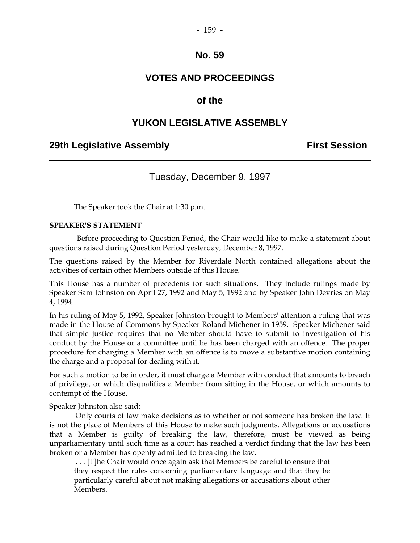# **VOTES AND PROCEEDINGS**

## **of the**

## **YUKON LEGISLATIVE ASSEMBLY**

### **29th Legislative Assembly Constructed Assembly Constructed Assembly** First Session

# Tuesday, December 9, 1997

The Speaker took the Chair at 1:30 p.m.

#### **SPEAKER'S STATEMENT**

 "Before proceeding to Question Period, the Chair would like to make a statement about questions raised during Question Period yesterday, December 8, 1997.

The questions raised by the Member for Riverdale North contained allegations about the activities of certain other Members outside of this House.

This House has a number of precedents for such situations. They include rulings made by Speaker Sam Johnston on April 27, 1992 and May 5, 1992 and by Speaker John Devries on May 4, 1994.

In his ruling of May 5, 1992, Speaker Johnston brought to Members' attention a ruling that was made in the House of Commons by Speaker Roland Michener in 1959. Speaker Michener said that simple justice requires that no Member should have to submit to investigation of his conduct by the House or a committee until he has been charged with an offence. The proper procedure for charging a Member with an offence is to move a substantive motion containing the charge and a proposal for dealing with it.

For such a motion to be in order, it must charge a Member with conduct that amounts to breach of privilege, or which disqualifies a Member from sitting in the House, or which amounts to contempt of the House.

Speaker Johnston also said:

 'Only courts of law make decisions as to whether or not someone has broken the law. It is not the place of Members of this House to make such judgments. Allegations or accusations that a Member is guilty of breaking the law, therefore, must be viewed as being unparliamentary until such time as a court has reached a verdict finding that the law has been broken or a Member has openly admitted to breaking the law.

'. . . [T]he Chair would once again ask that Members be careful to ensure that they respect the rules concerning parliamentary language and that they be particularly careful about not making allegations or accusations about other Members.'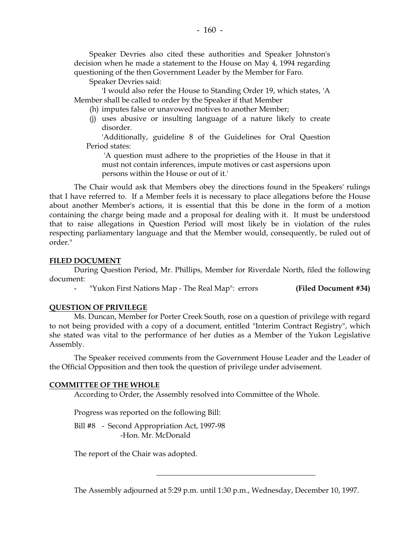Speaker Devries also cited these authorities and Speaker Johnston's decision when he made a statement to the House on May 4, 1994 regarding questioning of the then Government Leader by the Member for Faro.

Speaker Devries said:

 'I would also refer the House to Standing Order 19, which states, 'A Member shall be called to order by the Speaker if that Member

- (h) imputes false or unavowed motives to another Member;
- (j) uses abusive or insulting language of a nature likely to create disorder.

 'Additionally, guideline 8 of the Guidelines for Oral Question Period states:

 'A question must adhere to the proprieties of the House in that it must not contain inferences, impute motives or cast aspersions upon persons within the House or out of it.'

 The Chair would ask that Members obey the directions found in the Speakers' rulings that I have referred to. If a Member feels it is necessary to place allegations before the House about another Member's actions, it is essential that this be done in the form of a motion containing the charge being made and a proposal for dealing with it. It must be understood that to raise allegations in Question Period will most likely be in violation of the rules respecting parliamentary language and that the Member would, consequently, be ruled out of order."

### **FILED DOCUMENT**

 During Question Period, Mr. Phillips, Member for Riverdale North, filed the following document:

- "Yukon First Nations Map - The Real Map": errors **(Filed Document #34)** 

#### **QUESTION OF PRIVILEGE**

 Ms. Duncan, Member for Porter Creek South, rose on a question of privilege with regard to not being provided with a copy of a document, entitled "Interim Contract Registry", which she stated was vital to the performance of her duties as a Member of the Yukon Legislative Assembly.

 The Speaker received comments from the Government House Leader and the Leader of the Official Opposition and then took the question of privilege under advisement.

#### **COMMITTEE OF THE WHOLE**

According to Order, the Assembly resolved into Committee of the Whole.

Progress was reported on the following Bill:

 Bill #8 - Second Appropriation Act, 1997-98 -Hon. Mr. McDonald

The report of the Chair was adopted.

The Assembly adjourned at 5:29 p.m. until 1:30 p.m., Wednesday, December 10, 1997.

 $\frac{1}{\sqrt{2}}$  ,  $\frac{1}{\sqrt{2}}$  ,  $\frac{1}{\sqrt{2}}$  ,  $\frac{1}{\sqrt{2}}$  ,  $\frac{1}{\sqrt{2}}$  ,  $\frac{1}{\sqrt{2}}$  ,  $\frac{1}{\sqrt{2}}$  ,  $\frac{1}{\sqrt{2}}$  ,  $\frac{1}{\sqrt{2}}$  ,  $\frac{1}{\sqrt{2}}$  ,  $\frac{1}{\sqrt{2}}$  ,  $\frac{1}{\sqrt{2}}$  ,  $\frac{1}{\sqrt{2}}$  ,  $\frac{1}{\sqrt{2}}$  ,  $\frac{1}{\sqrt{2}}$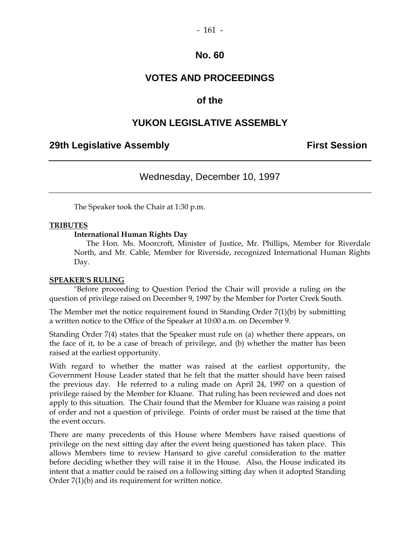# **VOTES AND PROCEEDINGS**

## **of the**

# **YUKON LEGISLATIVE ASSEMBLY**

### **29th Legislative Assembly Constructed Assembly Constructed Assembly** First Session

## Wednesday, December 10, 1997

The Speaker took the Chair at 1:30 p.m.

#### **TRIBUTES**

**International Human Rights Day**

 The Hon. Ms. Moorcroft, Minister of Justice, Mr. Phillips, Member for Riverdale North, and Mr. Cable, Member for Riverside, recognized International Human Rights Day.

#### **SPEAKER'S RULING**

"Before proceeding to Question Period the Chair will provide a ruling on the question of privilege raised on December 9, 1997 by the Member for Porter Creek South.

The Member met the notice requirement found in Standing Order 7(1)(b) by submitting a written notice to the Office of the Speaker at 10:00 a.m. on December 9.

Standing Order 7(4) states that the Speaker must rule on (a) whether there appears, on the face of it, to be a case of breach of privilege, and (b) whether the matter has been raised at the earliest opportunity.

With regard to whether the matter was raised at the earliest opportunity, the Government House Leader stated that he felt that the matter should have been raised the previous day. He referred to a ruling made on April 24, 1997 on a question of privilege raised by the Member for Kluane. That ruling has been reviewed and does not apply to this situation. The Chair found that the Member for Kluane was raising a point of order and not a question of privilege. Points of order must be raised at the time that the event occurs.

There are many precedents of this House where Members have raised questions of privilege on the next sitting day after the event being questioned has taken place. This allows Members time to review Hansard to give careful consideration to the matter before deciding whether they will raise it in the House. Also, the House indicated its intent that a matter could be raised on a following sitting day when it adopted Standing Order 7(1)(b) and its requirement for written notice.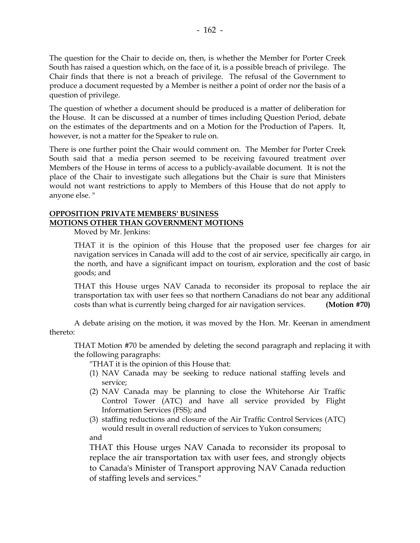The question for the Chair to decide on, then, is whether the Member for Porter Creek South has raised a question which, on the face of it, is a possible breach of privilege. The Chair finds that there is not a breach of privilege. The refusal of the Government to produce a document requested by a Member is neither a point of order nor the basis of a question of privilege.

The question of whether a document should be produced is a matter of deliberation for the House. It can be discussed at a number of times including Question Period, debate on the estimates of the departments and on a Motion for the Production of Papers. It, however, is not a matter for the Speaker to rule on.

There is one further point the Chair would comment on. The Member for Porter Creek South said that a media person seemed to be receiving favoured treatment over Members of the House in terms of access to a publicly-available document. It is not the place of the Chair to investigate such allegations but the Chair is sure that Ministers would not want restrictions to apply to Members of this House that do not apply to anyone else. "

### **OPPOSITION PRIVATE MEMBERS' BUSINESS MOTIONS OTHER THAN GOVERNMENT MOTIONS**

Moved by Mr. Jenkins:

 THAT it is the opinion of this House that the proposed user fee charges for air navigation services in Canada will add to the cost of air service, specifically air cargo, in the north, and have a significant impact on tourism, exploration and the cost of basic goods; and

 THAT this House urges NAV Canada to reconsider its proposal to replace the air transportation tax with user fees so that northern Canadians do not bear any additional costs than what is currently being charged for air navigation services. **(Motion #70)**

 A debate arising on the motion, it was moved by the Hon. Mr. Keenan in amendment thereto:

 THAT Motion #70 be amended by deleting the second paragraph and replacing it with the following paragraphs:

"THAT it is the opinion of this House that:

- (1) NAV Canada may be seeking to reduce national staffing levels and service;
- (2) NAV Canada may be planning to close the Whitehorse Air Traffic Control Tower (ATC) and have all service provided by Flight Information Services (FSS); and
- (3) staffing reductions and closure of the Air Traffic Control Services (ATC) would result in overall reduction of services to Yukon consumers; and

 THAT this House urges NAV Canada to reconsider its proposal to replace the air transportation tax with user fees, and strongly objects to Canada's Minister of Transport approving NAV Canada reduction of staffing levels and services."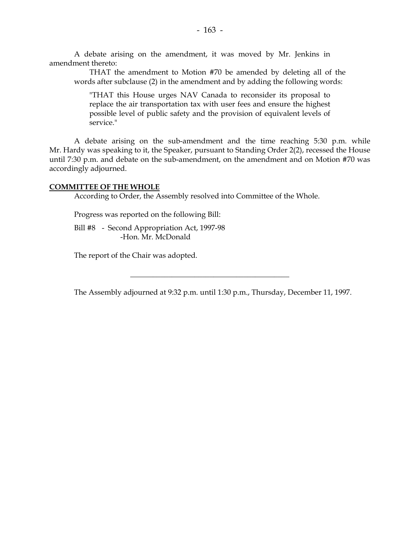A debate arising on the amendment, it was moved by Mr. Jenkins in amendment thereto:

 THAT the amendment to Motion #70 be amended by deleting all of the words after subclause (2) in the amendment and by adding the following words:

 "THAT this House urges NAV Canada to reconsider its proposal to replace the air transportation tax with user fees and ensure the highest possible level of public safety and the provision of equivalent levels of service."

 A debate arising on the sub-amendment and the time reaching 5:30 p.m. while Mr. Hardy was speaking to it, the Speaker, pursuant to Standing Order 2(2), recessed the House until 7:30 p.m. and debate on the sub-amendment, on the amendment and on Motion #70 was accordingly adjourned.

#### **COMMITTEE OF THE WHOLE**

According to Order, the Assembly resolved into Committee of the Whole.

Progress was reported on the following Bill:

 Bill #8 - Second Appropriation Act, 1997-98 -Hon. Mr. McDonald

The report of the Chair was adopted.

The Assembly adjourned at 9:32 p.m. until 1:30 p.m., Thursday, December 11, 1997.

\_\_\_\_\_\_\_\_\_\_\_\_\_\_\_\_\_\_\_\_\_\_\_\_\_\_\_\_\_\_\_\_\_\_\_\_\_\_\_\_\_\_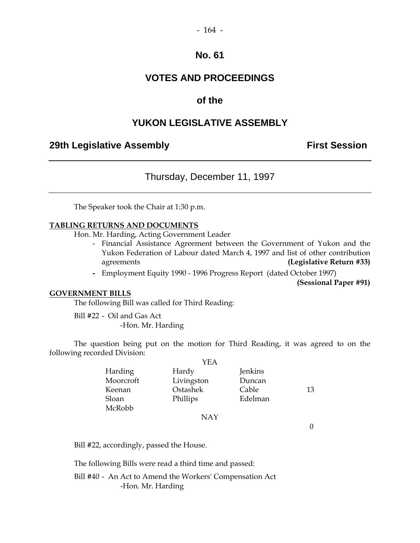# **VOTES AND PROCEEDINGS**

# **of the**

# **YUKON LEGISLATIVE ASSEMBLY**

### **29th Legislative Assembly Constructed Assembly** First Session

Thursday, December 11, 1997

The Speaker took the Chair at 1:30 p.m.

#### **TABLING RETURNS AND DOCUMENTS**

Hon. Mr. Harding, Acting Government Leader

- Financial Assistance Agreement between the Government of Yukon and the Yukon Federation of Labour dated March 4, 1997 and list of other contribution agreements **(Legislative Return #33)**
- Employment Equity 1990 1996 Progress Report (dated October 1997)

**(Sessional Paper #91)** 

### **GOVERNMENT BILLS**

The following Bill was called for Third Reading:

 Bill #22 - Oil and Gas Act -Hon. Mr. Harding

 The question being put on the motion for Third Reading, it was agreed to on the following recorded Division:

|           | YEA        |         |    |
|-----------|------------|---------|----|
| Harding   | Hardy      | Jenkins |    |
| Moorcroft | Livingston | Duncan  |    |
| Keenan    | Ostashek   | Cable   | 13 |
| Sloan     | Phillips   | Edelman |    |
| McRobb    |            |         |    |
|           | NAY        |         |    |

 $\theta$ 

Bill #22, accordingly, passed the House.

The following Bills were read a third time and passed:

 Bill #40 - An Act to Amend the Workers' Compensation Act -Hon. Mr. Harding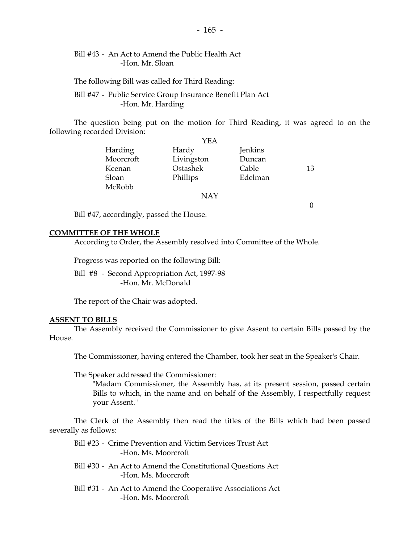### Bill #43 - An Act to Amend the Public Health Act -Hon. Mr. Sloan

The following Bill was called for Third Reading:

 Bill #47 - Public Service Group Insurance Benefit Plan Act -Hon. Mr. Harding

 The question being put on the motion for Third Reading, it was agreed to on the following recorded Division:

|           | YEA        |         |    |
|-----------|------------|---------|----|
| Harding   | Hardy      | Jenkins |    |
| Moorcroft | Livingston | Duncan  |    |
| Keenan    | Ostashek   | Cable   | 13 |
| Sloan     | Phillips   | Edelman |    |
| McRobb    |            |         |    |
|           | <b>NAY</b> |         |    |
|           |            |         |    |

Bill #47, accordingly, passed the House.

#### **COMMITTEE OF THE WHOLE**

According to Order, the Assembly resolved into Committee of the Whole.

Progress was reported on the following Bill:

 Bill #8 - Second Appropriation Act, 1997-98 -Hon. Mr. McDonald

The report of the Chair was adopted.

#### **ASSENT TO BILLS**

 The Assembly received the Commissioner to give Assent to certain Bills passed by the House.

The Commissioner, having entered the Chamber, took her seat in the Speaker's Chair.

The Speaker addressed the Commissioner:

 "Madam Commissioner, the Assembly has, at its present session, passed certain Bills to which, in the name and on behalf of the Assembly, I respectfully request your Assent."

 The Clerk of the Assembly then read the titles of the Bills which had been passed severally as follows:

 Bill #23 - Crime Prevention and Victim Services Trust Act -Hon. Ms. Moorcroft

- Bill #30 An Act to Amend the Constitutional Questions Act -Hon. Ms. Moorcroft
- Bill #31 An Act to Amend the Cooperative Associations Act -Hon. Ms. Moorcroft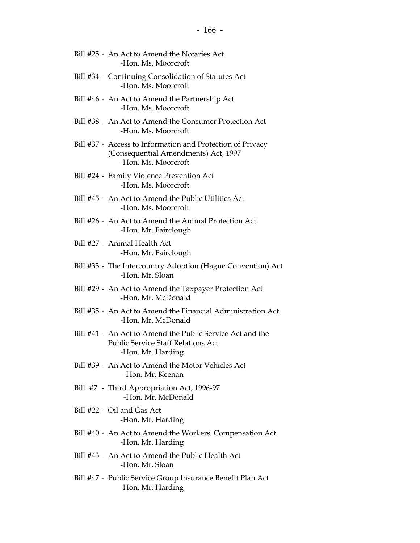- Bill #25 An Act to Amend the Notaries Act -Hon. Ms. Moorcroft
- Bill #34 Continuing Consolidation of Statutes Act -Hon. Ms. Moorcroft
- Bill #46 An Act to Amend the Partnership Act -Hon. Ms. Moorcroft
- Bill #38 An Act to Amend the Consumer Protection Act -Hon. Ms. Moorcroft
- Bill #37 Access to Information and Protection of Privacy (Consequential Amendments) Act, 1997 -Hon. Ms. Moorcroft
- Bill #24 Family Violence Prevention Act -Hon. Ms. Moorcroft
- Bill #45 An Act to Amend the Public Utilities Act -Hon. Ms. Moorcroft
- Bill #26 An Act to Amend the Animal Protection Act -Hon. Mr. Fairclough
- Bill #27 Animal Health Act -Hon. Mr. Fairclough
- Bill #33 The Intercountry Adoption (Hague Convention) Act -Hon. Mr. Sloan
- Bill #29 An Act to Amend the Taxpayer Protection Act -Hon. Mr. McDonald
- Bill #35 An Act to Amend the Financial Administration Act -Hon. Mr. McDonald
- Bill #41 An Act to Amend the Public Service Act and the Public Service Staff Relations Act -Hon. Mr. Harding
- Bill #39 An Act to Amend the Motor Vehicles Act -Hon. Mr. Keenan
- Bill #7 Third Appropriation Act, 1996-97 -Hon. Mr. McDonald
- Bill #22 Oil and Gas Act -Hon. Mr. Harding
- Bill #40 An Act to Amend the Workers' Compensation Act -Hon. Mr. Harding
- Bill #43 An Act to Amend the Public Health Act -Hon. Mr. Sloan
- Bill #47 Public Service Group Insurance Benefit Plan Act -Hon. Mr. Harding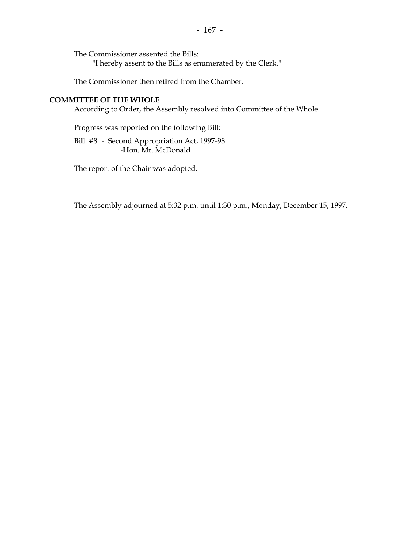The Commissioner assented the Bills:

"I hereby assent to the Bills as enumerated by the Clerk."

The Commissioner then retired from the Chamber.

### **COMMITTEE OF THE WHOLE**

According to Order, the Assembly resolved into Committee of the Whole.

Progress was reported on the following Bill:

 Bill #8 - Second Appropriation Act, 1997-98 -Hon. Mr. McDonald

The report of the Chair was adopted.

The Assembly adjourned at 5:32 p.m. until 1:30 p.m., Monday, December 15, 1997.

\_\_\_\_\_\_\_\_\_\_\_\_\_\_\_\_\_\_\_\_\_\_\_\_\_\_\_\_\_\_\_\_\_\_\_\_\_\_\_\_\_\_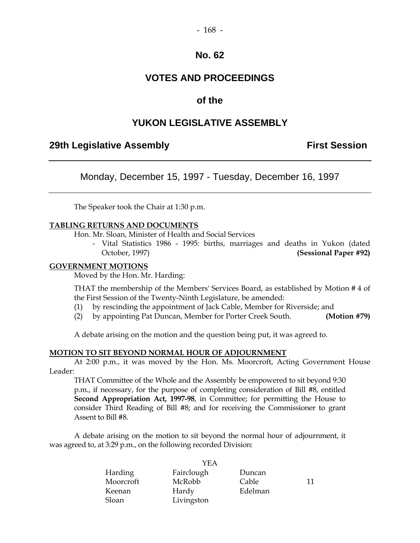# **VOTES AND PROCEEDINGS**

## **of the**

## **YUKON LEGISLATIVE ASSEMBLY**

## **29th Legislative Assembly Constructed Assembly Constructed Assembly** First Session

Monday, December 15, 1997 - Tuesday, December 16, 1997

The Speaker took the Chair at 1:30 p.m.

#### **TABLING RETURNS AND DOCUMENTS**

Hon. Mr. Sloan, Minister of Health and Social Services

 - Vital Statistics 1986 - 1995: births, marriages and deaths in Yukon (dated October, 1997) **(Sessional Paper #92)** 

#### **GOVERNMENT MOTIONS**

Moved by the Hon. Mr. Harding:

 THAT the membership of the Members' Services Board, as established by Motion # 4 of the First Session of the Twenty-Ninth Legislature, be amended:

- (1) by rescinding the appointment of Jack Cable, Member for Riverside; and
- (2) by appointing Pat Duncan, Member for Porter Creek South. **(Motion #79)**

A debate arising on the motion and the question being put, it was agreed to.

#### **MOTION TO SIT BEYOND NORMAL HOUR OF ADJOURNMENT**

 At 2:00 p.m., it was moved by the Hon. Ms. Moorcroft, Acting Government House Leader:

 THAT Committee of the Whole and the Assembly be empowered to sit beyond 9:30 p.m., if necessary, for the purpose of completing consideration of Bill #8, entitled **Second Appropriation Act, 1997-98**, in Committee; for permitting the House to consider Third Reading of Bill #8; and for receiving the Commissioner to grant Assent to Bill #8.

 A debate arising on the motion to sit beyond the normal hour of adjournment, it was agreed to, at 3:29 p.m., on the following recorded Division:

| YEA       |            |         |    |
|-----------|------------|---------|----|
| Harding   | Fairclough | Duncan  |    |
| Moorcroft | McRobb     | Cable   | 11 |
| Keenan    | Hardy      | Edelman |    |
| Sloan     | Livingston |         |    |

 $\overline{y}$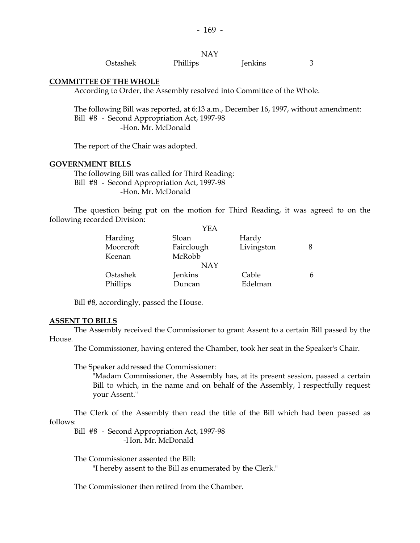|          | NAY      |         |  |
|----------|----------|---------|--|
| Ostashek | Phillips | Jenkins |  |

#### **COMMITTEE OF THE WHOLE**

According to Order, the Assembly resolved into Committee of the Whole.

 The following Bill was reported, at 6:13 a.m., December 16, 1997, without amendment: Bill #8 - Second Appropriation Act, 1997-98 -Hon. Mr. McDonald

The report of the Chair was adopted.

#### **GOVERNMENT BILLS**

 The following Bill was called for Third Reading: Bill #8 - Second Appropriation Act, 1997-98 -Hon. Mr. McDonald

 The question being put on the motion for Third Reading, it was agreed to on the following recorded Division:

|           | YEA        |            |   |
|-----------|------------|------------|---|
| Harding   | Sloan      | Hardy      |   |
| Moorcroft | Fairclough | Livingston |   |
| Keenan    | McRobb     |            |   |
|           | <b>NAY</b> |            |   |
| Ostashek  | Jenkins    | Cable      | 6 |
| Phillips  | Duncan     | Edelman    |   |

Bill #8, accordingly, passed the House.

#### **ASSENT TO BILLS**

 The Assembly received the Commissioner to grant Assent to a certain Bill passed by the House.

The Commissioner, having entered the Chamber, took her seat in the Speaker's Chair.

The Speaker addressed the Commissioner:

 "Madam Commissioner, the Assembly has, at its present session, passed a certain Bill to which, in the name and on behalf of the Assembly, I respectfully request your Assent."

 The Clerk of the Assembly then read the title of the Bill which had been passed as follows:

 Bill #8 - Second Appropriation Act, 1997-98 -Hon. Mr. McDonald

The Commissioner assented the Bill:

"I hereby assent to the Bill as enumerated by the Clerk."

The Commissioner then retired from the Chamber.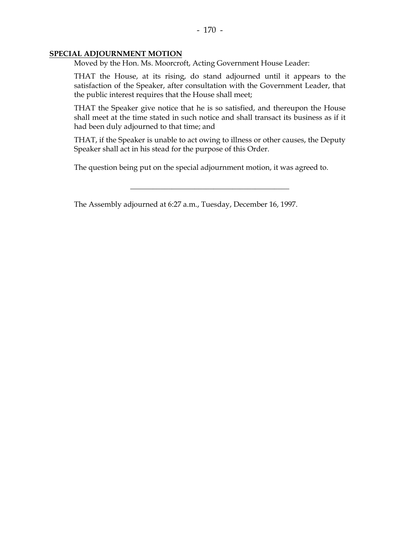#### **SPECIAL ADJOURNMENT MOTION**

Moved by the Hon. Ms. Moorcroft, Acting Government House Leader:

 THAT the House, at its rising, do stand adjourned until it appears to the satisfaction of the Speaker, after consultation with the Government Leader, that the public interest requires that the House shall meet;

 THAT the Speaker give notice that he is so satisfied, and thereupon the House shall meet at the time stated in such notice and shall transact its business as if it had been duly adjourned to that time; and

 THAT, if the Speaker is unable to act owing to illness or other causes, the Deputy Speaker shall act in his stead for the purpose of this Order.

\_\_\_\_\_\_\_\_\_\_\_\_\_\_\_\_\_\_\_\_\_\_\_\_\_\_\_\_\_\_\_\_\_\_\_\_\_\_\_\_\_\_

The question being put on the special adjournment motion, it was agreed to.

The Assembly adjourned at 6:27 a.m., Tuesday, December 16, 1997.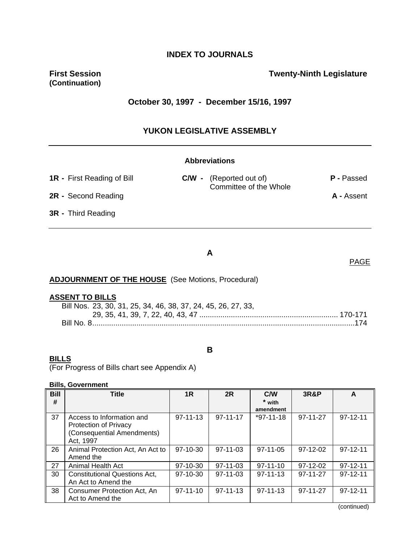## **INDEX TO JOURNALS**

**(Continuation)** 

### **First Session Contract Contract Contract Contract Contract Contract Contract Contract Contract Contract Contract Contract Contract Contract Contract Contract Contract Contract Contract Contract Contract Contract Contract**

### **October 30, 1997 - December 15/16, 1997**

### **YUKON LEGISLATIVE ASSEMBLY**

#### **Abbreviations**

| <b>1R</b> - First Reading of Bill |  | <b>C/W</b> - (Reported out of)<br>Committee of the Whole | P - Passed |
|-----------------------------------|--|----------------------------------------------------------|------------|
| <b>2R</b> - Second Reading        |  |                                                          | A - Assent |
| <b>3R</b> - Third Reading         |  |                                                          |            |

### **A**

# **ADJOURNMENT OF THE HOUSE** (See Motions, Procedural)

#### **ASSENT TO BILLS**

| Bill Nos. 23, 30, 31, 25, 34, 46, 38, 37, 24, 45, 26, 27, 33, |  |
|---------------------------------------------------------------|--|
|                                                               |  |
|                                                               |  |

#### **B**

#### **BILLS**

(For Progress of Bills chart see Appendix A)

#### **Bills, Government**

| <b>Bill</b> | <b>Title</b>                                                                                         | 1R             | 2R             | <b>C/W</b>          | <b>3R&amp;P</b> | A              |
|-------------|------------------------------------------------------------------------------------------------------|----------------|----------------|---------------------|-----------------|----------------|
| #           |                                                                                                      |                |                | * with<br>amendment |                 |                |
| 37          | Access to Information and<br><b>Protection of Privacy</b><br>(Consequential Amendments)<br>Act, 1997 | $97 - 11 - 13$ | $97 - 11 - 17$ | $*97-11-18$         | 97-11-27        | $97 - 12 - 11$ |
| 26          | Animal Protection Act, An Act to<br>Amend the                                                        | $97-10-30$     | $97-11-03$     | $97-11-05$          | 97-12-02        | $97-12-11$     |
| 27          | Animal Health Act                                                                                    | 97-10-30       | $97 - 11 - 03$ | $97-11-10$          | 97-12-02        | $97 - 12 - 11$ |
| 30          | <b>Constitutional Questions Act,</b><br>An Act to Amend the                                          | $97-10-30$     | $97-11-03$     | $97-11-13$          | 97-11-27        | $97-12-11$     |
| 38          | Consumer Protection Act, An<br>Act to Amend the                                                      | $97-11-10$     | $97 - 11 - 13$ | $97-11-13$          | 97-11-27        | $97-12-11$     |

(continued)

### PAGE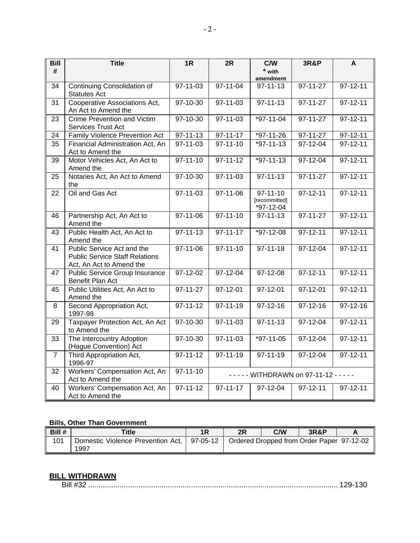| <b>Bill</b>    | <b>Title</b>                                                                                    | 1R                    | 2R             | C/W                                          | <b>3R&amp;P</b>      | A              |
|----------------|-------------------------------------------------------------------------------------------------|-----------------------|----------------|----------------------------------------------|----------------------|----------------|
| #              |                                                                                                 |                       |                | * with                                       |                      |                |
| 34             | Continuing Consolidation of                                                                     | 97-11-03              | $97 - 11 - 04$ | amendment<br>$97 - 11 - 13$                  | $97 - 11 - 27$       | $97 - 12 - 11$ |
|                | <b>Statutes Act</b>                                                                             |                       |                |                                              |                      |                |
| 31             | Cooperative Associations Act,                                                                   | $97-10-30$            | $97 - 11 - 03$ | $97 - 11 - 13$                               | $97 - 11 - 27$       | $97 - 12 - 11$ |
|                | An Act to Amend the                                                                             |                       |                |                                              |                      |                |
| 23             | <b>Crime Prevention and Victim</b><br>Services Trust Act                                        | $97-10-30$            | 97-11-03       | $*97-11-04$                                  | 97-11-27             | $97 - 12 - 11$ |
| 24             | Family Violence Prevention Act                                                                  | $97 - 11 - 13$        | $97 - 11 - 17$ | $*97-11-26$                                  | 97-11-27             | $97 - 12 - 11$ |
| 35             | Financial Administration Act, An<br>Act to Amend the                                            | $97 - 11 - 03$        | $97 - 11 - 10$ | $*97-11-13$                                  | $97-12-04$           | $97 - 12 - 11$ |
| 39             | Motor Vehicles Act, An Act to<br>Amend the                                                      | $97 - 11 - 10$        | $97 - 11 - 12$ | $*97-11-13$                                  | 97-12-04             | $97 - 12 - 11$ |
| 25             | Notaries Act, An Act to Amend<br>the                                                            | 97-10-30              | $97 - 11 - 03$ | $97 - 11 - 13$                               | $97 - 11 - 27$       | $97 - 12 - 11$ |
| 22             | Oil and Gas Act                                                                                 | 97-11-03              | 97-11-06       | $97 - 11 - 10$<br>[recommitted]<br>*97-12-04 | $97 - 12 - 11$       | $97 - 12 - 11$ |
| 46             | Partnership Act, An Act to<br>Amend the                                                         | 97-11-06              | $97 - 11 - 10$ | $97 - 11 - 13$                               | 97-11-27             | $97 - 12 - 11$ |
| 43             | Public Health Act, An Act to<br>Amend the                                                       | $97 - 11 - 13$        | $97 - 11 - 17$ | *97-12-08                                    | $97 - 12 - 11$       | $97 - 12 - 11$ |
| 41             | Public Service Act and the<br><b>Public Service Staff Relations</b><br>Act, An Act to Amend the | $97 - 11 - 06$        | $97 - 11 - 10$ | $97 - 11 - 18$                               | $97-12-04$           | $97 - 12 - 11$ |
| 47             | <b>Public Service Group Insurance</b><br>Benefit Plan Act                                       | 97-12-02              | 97-12-04       | 97-12-08                                     | $97 - 12 - 11$       | $97 - 12 - 11$ |
| 45             | Public Utilities Act, An Act to<br>Amend the                                                    | $\overline{97-11-27}$ | 97-12-01       | 97-12-01                                     | 97-12-01             | $97 - 12 - 11$ |
| 8              | Second Appropriation Act,<br>1997-98                                                            | $97 - 11 - 12$        | $97 - 11 - 19$ | $97-12-16$                                   | 97-12-16             | 97-12-16       |
| 29             | Taxpayer Protection Act, An Act<br>to Amend the                                                 | 97-10-30              | 97-11-03       | $97 - 11 - 13$                               | 97-12-04             | $97 - 12 - 11$ |
| 33             | The Intercountry Adoption<br>(Hague Convention) Act                                             | 97-10-30              | 97-11-03       | $*97-11-05$                                  | $\frac{1}{97-12-04}$ | $97 - 12 - 11$ |
| $\overline{7}$ | Third Appropriation Act,<br>1996-97                                                             | $97 - 11 - 12$        | $97 - 11 - 19$ | 97-11-19                                     | 97-12-04             | $97 - 12 - 11$ |
| 32             | Workers' Compensation Act, An<br>Act to Amend the                                               | $97 - 11 - 10$        |                | - - - - - WITHDRAWN on 97-11-12 - - - - -    |                      |                |
| 40             | Workers' Compensation Act, An<br>Act to Amend the                                               | $97 - 11 - 12$        | $97 - 11 - 17$ | 97-12-04                                     | 97-12-11             | $97 - 12 - 11$ |

### **Bills, Other Than Government**

| Bill # | Title                                                  | 2R | <b>C/W</b>                                | <b>3R&amp;P</b> |  |
|--------|--------------------------------------------------------|----|-------------------------------------------|-----------------|--|
| 101    | Domestic Violence Prevention Act,   97-05-12  <br>1997 |    | Ordered Dropped from Order Paper 97-12-02 |                 |  |

### **BILL WITHDRAWN**

| וווכ |  |  |  |  |  |
|------|--|--|--|--|--|
|------|--|--|--|--|--|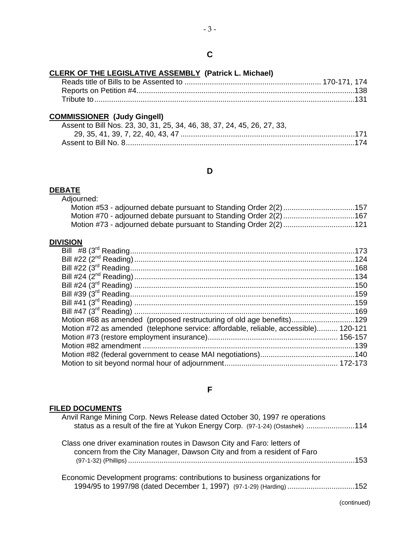### **CLERK OF THE LEGISLATIVE ASSEMBLY (Patrick L. Michael)**

### **COMMISSIONER (Judy Gingell)**

| Assent to Bill Nos. 23, 30, 31, 25, 34, 46, 38, 37, 24, 45, 26, 27, 33, |
|-------------------------------------------------------------------------|
|                                                                         |
|                                                                         |

#### **D**

## **DEBATE**

Adjourned:

| Motion #53 - adjourned debate pursuant to Standing Order 2(2)157  |  |
|-------------------------------------------------------------------|--|
| Motion #70 - adjourned debate pursuant to Standing Order 2(2) 167 |  |
| Motion #73 - adjourned debate pursuant to Standing Order 2(2) 121 |  |

### **DIVISION**

| Motion #68 as amended (proposed restructuring of old age benefits)129               |  |
|-------------------------------------------------------------------------------------|--|
| Motion #72 as amended (telephone service: affordable, reliable, accessible) 120-121 |  |
|                                                                                     |  |
|                                                                                     |  |
|                                                                                     |  |
|                                                                                     |  |
|                                                                                     |  |

### **F**

### **FILED DOCUMENTS**

|     | Anvil Range Mining Corp. News Release dated October 30, 1997 re operations<br>status as a result of the fire at Yukon Energy Corp. (97-1-24) (Ostashek) 114 |
|-----|-------------------------------------------------------------------------------------------------------------------------------------------------------------|
|     | Class one driver examination routes in Dawson City and Faro: letters of<br>concern from the City Manager, Dawson City and from a resident of Faro           |
| 153 |                                                                                                                                                             |
|     | Economic Development programs: contributions to business organizations for                                                                                  |
|     | 1994/95 to 1997/98 (dated December 1, 1997) (97-1-29) (Harding) 152                                                                                         |

(continued)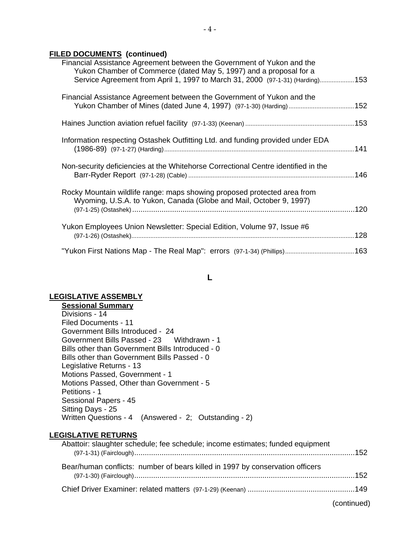# **FILED DOCUMENTS (continued)**

| Financial Assistance Agreement between the Government of Yukon and the<br>Yukon Chamber of Commerce (dated May 5, 1997) and a proposal for a<br>Service Agreement from April 1, 1997 to March 31, 2000 (97-1-31) (Harding) 153 |  |
|--------------------------------------------------------------------------------------------------------------------------------------------------------------------------------------------------------------------------------|--|
| Financial Assistance Agreement between the Government of Yukon and the<br>Yukon Chamber of Mines (dated June 4, 1997) (97-1-30) (Harding)  152                                                                                 |  |
|                                                                                                                                                                                                                                |  |
| Information respecting Ostashek Outfitting Ltd. and funding provided under EDA                                                                                                                                                 |  |
| Non-security deficiencies at the Whitehorse Correctional Centre identified in the                                                                                                                                              |  |
| Rocky Mountain wildlife range: maps showing proposed protected area from<br>Wyoming, U.S.A. to Yukon, Canada (Globe and Mail, October 9, 1997)                                                                                 |  |
| Yukon Employees Union Newsletter: Special Edition, Volume 97, Issue #6                                                                                                                                                         |  |
|                                                                                                                                                                                                                                |  |

**L** 

# **LEGISLATIVE ASSEMBLY**

| <b>Sessional Summary</b>                                 |  |
|----------------------------------------------------------|--|
| Divisions - 14                                           |  |
| Filed Documents - 11                                     |  |
| Government Bills Introduced - 24                         |  |
| Government Bills Passed - 23 Withdrawn - 1               |  |
| Bills other than Government Bills Introduced - 0         |  |
| Bills other than Government Bills Passed - 0             |  |
| Legislative Returns - 13                                 |  |
| Motions Passed, Government - 1                           |  |
| Motions Passed, Other than Government - 5                |  |
| Petitions - 1                                            |  |
| Sessional Papers - 45                                    |  |
| Sitting Days - 25                                        |  |
| (Answered - 2; Outstanding - 2)<br>Written Questions - 4 |  |

# **LEGISLATIVE RETURNS**

| Abattoir: slaughter schedule; fee schedule; income estimates; funded equipment |  |
|--------------------------------------------------------------------------------|--|
| Bear/human conflicts: number of bears killed in 1997 by conservation officers  |  |
|                                                                                |  |

(continued)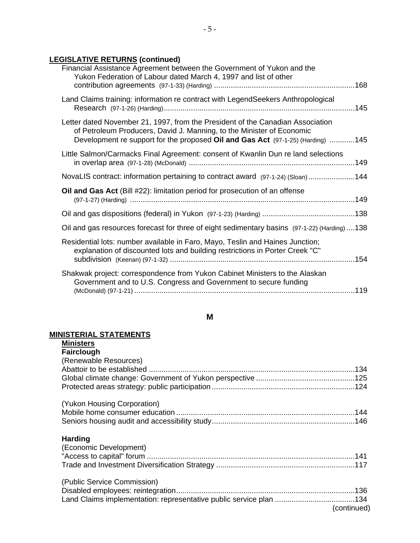# **LEGISLATIVE RETURNS (continued)**

| Financial Assistance Agreement between the Government of Yukon and the<br>Yukon Federation of Labour dated March 4, 1997 and list of other                                                                                                 |  |
|--------------------------------------------------------------------------------------------------------------------------------------------------------------------------------------------------------------------------------------------|--|
| Land Claims training: information re contract with LegendSeekers Anthropological                                                                                                                                                           |  |
| Letter dated November 21, 1997, from the President of the Canadian Association<br>of Petroleum Producers, David J. Manning, to the Minister of Economic<br>Development re support for the proposed Oil and Gas Act (97-1-25) (Harding) 145 |  |
| Little Salmon/Carmacks Final Agreement: consent of Kwanlin Dun re land selections                                                                                                                                                          |  |
| NovaLIS contract: information pertaining to contract award (97-1-24) (Sloan)144                                                                                                                                                            |  |
| Oil and Gas Act (Bill #22): limitation period for prosecution of an offense                                                                                                                                                                |  |
|                                                                                                                                                                                                                                            |  |
| Oil and gas resources forecast for three of eight sedimentary basins (97-1-22) (Harding)138                                                                                                                                                |  |
| Residential lots: number available in Faro, Mayo, Teslin and Haines Junction;<br>explanation of discounted lots and building restrictions in Porter Creek "C"                                                                              |  |
| Shakwak project: correspondence from Yukon Cabinet Ministers to the Alaskan<br>Government and to U.S. Congress and Government to secure funding                                                                                            |  |
|                                                                                                                                                                                                                                            |  |

# **M**

#### **MINISTERIAL STATEMENTS**

| <b>Ministers</b>            |  |
|-----------------------------|--|
| <b>Fairclough</b>           |  |
| (Renewable Resources)       |  |
|                             |  |
|                             |  |
|                             |  |
| (Yukon Housing Corporation) |  |
|                             |  |
|                             |  |
| <b>Harding</b>              |  |
| (Economic Development)      |  |
|                             |  |
|                             |  |
| (Public Service Commission) |  |
|                             |  |
|                             |  |
| (continued)                 |  |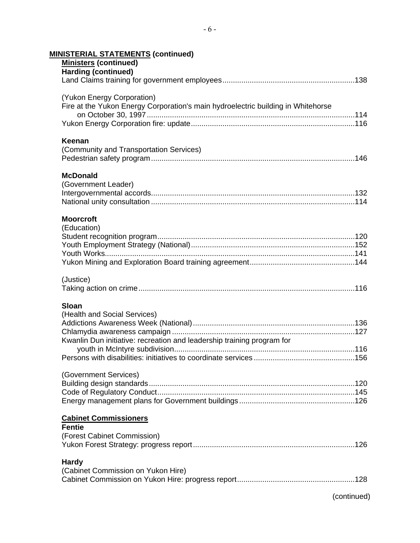| <b>MINISTERIAL STATEMENTS (continued)</b>                                                                      |
|----------------------------------------------------------------------------------------------------------------|
| <b>Ministers (continued)</b>                                                                                   |
| <b>Harding (continued)</b>                                                                                     |
|                                                                                                                |
|                                                                                                                |
| (Yukon Energy Corporation)<br>Fire at the Yukon Energy Corporation's main hydroelectric building in Whitehorse |
|                                                                                                                |
|                                                                                                                |
|                                                                                                                |
| Keenan                                                                                                         |
| (Community and Transportation Services)                                                                        |
|                                                                                                                |
|                                                                                                                |
| <b>McDonald</b>                                                                                                |
| (Government Leader)                                                                                            |
|                                                                                                                |
|                                                                                                                |
|                                                                                                                |
| <b>Moorcroft</b>                                                                                               |
| (Education)                                                                                                    |
|                                                                                                                |
|                                                                                                                |
|                                                                                                                |
|                                                                                                                |
| (Justice)                                                                                                      |
|                                                                                                                |
|                                                                                                                |
| <b>Sloan</b>                                                                                                   |
| (Health and Social Services)                                                                                   |
|                                                                                                                |
|                                                                                                                |
| Kwanlin Dun initiative: recreation and leadership training program for                                         |
|                                                                                                                |
|                                                                                                                |
| (Government Services)                                                                                          |
|                                                                                                                |
|                                                                                                                |
|                                                                                                                |
|                                                                                                                |
| <b>Cabinet Commissioners</b>                                                                                   |
| <b>Fentie</b>                                                                                                  |
| (Forest Cabinet Commission)                                                                                    |
|                                                                                                                |
|                                                                                                                |
| <b>Hardy</b><br>(Cabinet Commission on Yukon Hire)                                                             |
|                                                                                                                |
|                                                                                                                |
| (continued)                                                                                                    |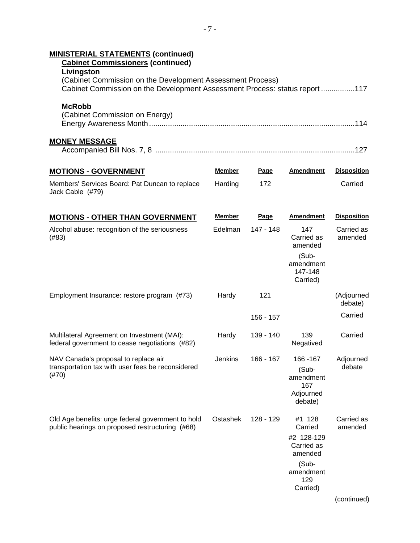| <b>MINISTERIAL STATEMENTS (continued)</b><br><b>Cabinet Commissioners (continued)</b><br>Livingston<br>(Cabinet Commission on the Development Assessment Process) |                |           |                                                                                                   |                       |
|-------------------------------------------------------------------------------------------------------------------------------------------------------------------|----------------|-----------|---------------------------------------------------------------------------------------------------|-----------------------|
| Cabinet Commission on the Development Assessment Process: status report 117                                                                                       |                |           |                                                                                                   |                       |
| <b>McRobb</b><br>(Cabinet Commission on Energy)                                                                                                                   |                |           |                                                                                                   |                       |
| <b>MONEY MESSAGE</b>                                                                                                                                              |                |           |                                                                                                   |                       |
| <b>MOTIONS - GOVERNMENT</b>                                                                                                                                       | <u>Member</u>  | Page      | <b>Amendment</b>                                                                                  | <b>Disposition</b>    |
| Members' Services Board: Pat Duncan to replace<br>Jack Cable (#79)                                                                                                | Harding        | 172       |                                                                                                   | Carried               |
| <b>MOTIONS - OTHER THAN GOVERNMENT</b>                                                                                                                            | Member         | Page      | <b>Amendment</b>                                                                                  | <b>Disposition</b>    |
| Alcohol abuse: recognition of the seriousness<br>(#83)                                                                                                            | Edelman        | 147 - 148 | 147<br>Carried as<br>amended                                                                      | Carried as<br>amended |
|                                                                                                                                                                   |                |           | $(Sub -$<br>amendment<br>147-148<br>Carried)                                                      |                       |
| Employment Insurance: restore program (#73)                                                                                                                       | Hardy          | 121       |                                                                                                   | (Adjourned<br>debate) |
|                                                                                                                                                                   |                | 156 - 157 |                                                                                                   | Carried               |
| Multilateral Agreement on Investment (MAI):<br>federal government to cease negotiations (#82)                                                                     | Hardy          | 139 - 140 | 139<br>Negatived                                                                                  | Carried               |
| NAV Canada's proposal to replace air<br>transportation tax with user fees be reconsidered<br>$(\#70)$                                                             | <b>Jenkins</b> | 166 - 167 | 166 - 167<br>(Sub-<br>amendment<br>167<br>Adjourned<br>debate)                                    | Adjourned<br>debate   |
| Old Age benefits: urge federal government to hold<br>public hearings on proposed restructuring (#68)                                                              | Ostashek       | 128 - 129 | #1 128<br>Carried<br>#2 128-129<br>Carried as<br>amended<br>(Sub-<br>amendment<br>129<br>Carried) | Carried as<br>amended |
|                                                                                                                                                                   |                |           |                                                                                                   | (continued)           |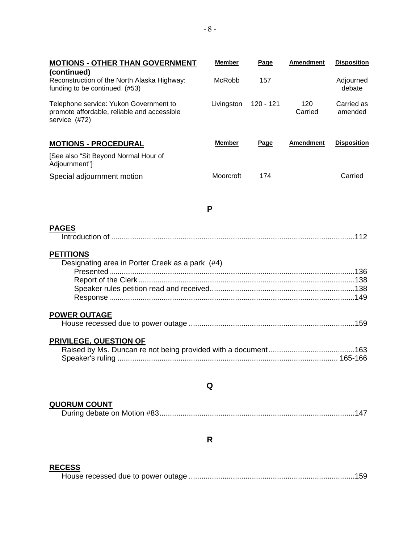| <b>MOTIONS - OTHER THAN GOVERNMENT</b>                                                                 | <b>Member</b> | Page        | <b>Amendment</b> | <b>Disposition</b>    |
|--------------------------------------------------------------------------------------------------------|---------------|-------------|------------------|-----------------------|
| (continued)<br>Reconstruction of the North Alaska Highway:<br>funding to be continued (#53)            | McRobb        | 157         |                  | Adjourned<br>debate   |
| Telephone service: Yukon Government to<br>promote affordable, reliable and accessible<br>service (#72) | Livingston    | 120 - 121   | 120<br>Carried   | Carried as<br>amended |
| <b>MOTIONS - PROCEDURAL</b>                                                                            | <b>Member</b> | <b>Page</b> | <b>Amendment</b> | <b>Disposition</b>    |
| [See also "Sit Beyond Normal Hour of<br>Adjournment"]                                                  |               |             |                  |                       |
| Special adjournment motion                                                                             | Moorcroft     | 174         |                  | Carried               |
|                                                                                                        | P             |             |                  |                       |
| <b>PAGES</b>                                                                                           |               |             |                  |                       |
| <b>PETITIONS</b><br>Designating area in Porter Creek as a park (#4)                                    |               |             |                  |                       |
| <b>POWER OUTAGE</b>                                                                                    |               |             |                  |                       |
| <b>PRIVILEGE, QUESTION OF</b>                                                                          |               |             |                  |                       |
|                                                                                                        | Q             |             |                  |                       |
| <b>QUORUM COUNT</b>                                                                                    |               |             |                  | 147                   |
|                                                                                                        | R             |             |                  |                       |

#### **RECESS**

House recessed due to power outage ...............................................................................159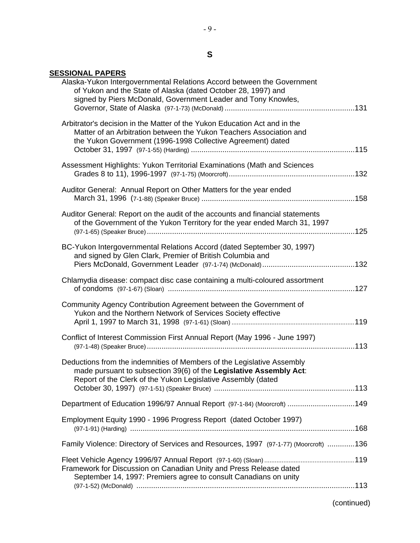# **S**

# **SESSIONAL PAPERS**

| Alaska-Yukon Intergovernmental Relations Accord between the Government<br>of Yukon and the State of Alaska (dated October 28, 1997) and<br>signed by Piers McDonald, Government Leader and Tony Knowles,        |  |
|-----------------------------------------------------------------------------------------------------------------------------------------------------------------------------------------------------------------|--|
| Arbitrator's decision in the Matter of the Yukon Education Act and in the<br>Matter of an Arbitration between the Yukon Teachers Association and<br>the Yukon Government (1996-1998 Collective Agreement) dated |  |
| Assessment Highlights: Yukon Territorial Examinations (Math and Sciences                                                                                                                                        |  |
| Auditor General: Annual Report on Other Matters for the year ended                                                                                                                                              |  |
| Auditor General: Report on the audit of the accounts and financial statements<br>of the Government of the Yukon Territory for the year ended March 31, 1997                                                     |  |
| BC-Yukon Intergovernmental Relations Accord (dated September 30, 1997)<br>and signed by Glen Clark, Premier of British Columbia and                                                                             |  |
| Chlamydia disease: compact disc case containing a multi-coloured assortment                                                                                                                                     |  |
| Community Agency Contribution Agreement between the Government of<br>Yukon and the Northern Network of Services Society effective                                                                               |  |
| Conflict of Interest Commission First Annual Report (May 1996 - June 1997)                                                                                                                                      |  |
| Deductions from the indemnities of Members of the Legislative Assembly<br>made pursuant to subsection 39(6) of the Legislative Assembly Act:<br>Report of the Clerk of the Yukon Legislative Assembly (dated    |  |
|                                                                                                                                                                                                                 |  |
| Department of Education 1996/97 Annual Report (97-1-84) (Moorcroft) 149                                                                                                                                         |  |
| Employment Equity 1990 - 1996 Progress Report (dated October 1997)                                                                                                                                              |  |
| Family Violence: Directory of Services and Resources, 1997 (97-1-77) (Moorcroft) 136                                                                                                                            |  |
| Framework for Discussion on Canadian Unity and Press Release dated<br>September 14, 1997: Premiers agree to consult Canadians on unity                                                                          |  |
|                                                                                                                                                                                                                 |  |

(continued)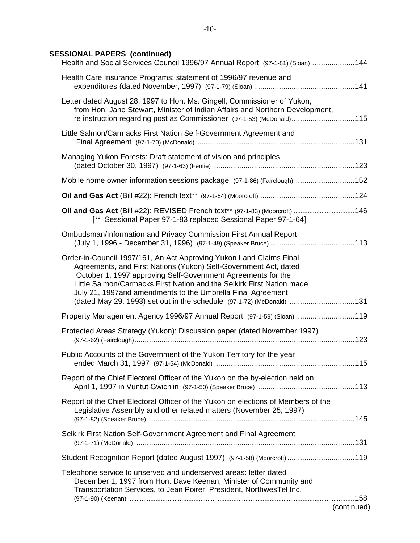# **SESSIONAL PAPERS (continued)**

| Health and Social Services Council 1996/97 Annual Report (97-1-81) (Sloan) 144                                                                                                                                                                                                                                                                                                                                           |
|--------------------------------------------------------------------------------------------------------------------------------------------------------------------------------------------------------------------------------------------------------------------------------------------------------------------------------------------------------------------------------------------------------------------------|
| Health Care Insurance Programs: statement of 1996/97 revenue and                                                                                                                                                                                                                                                                                                                                                         |
| Letter dated August 28, 1997 to Hon. Ms. Gingell, Commissioner of Yukon,<br>from Hon. Jane Stewart, Minister of Indian Affairs and Northern Development,<br>re instruction regarding post as Commissioner (97-1-53) (McDonald)115                                                                                                                                                                                        |
| Little Salmon/Carmacks First Nation Self-Government Agreement and                                                                                                                                                                                                                                                                                                                                                        |
| Managing Yukon Forests: Draft statement of vision and principles                                                                                                                                                                                                                                                                                                                                                         |
| Mobile home owner information sessions package (97-1-86) (Fairclough) 152                                                                                                                                                                                                                                                                                                                                                |
|                                                                                                                                                                                                                                                                                                                                                                                                                          |
| Oil and Gas Act (Bill #22): REVISED French text** (97-1-83) (Moorcroft) 146<br>[** Sessional Paper 97-1-83 replaced Sessional Paper 97-1-64]                                                                                                                                                                                                                                                                             |
| Ombudsman/Information and Privacy Commission First Annual Report                                                                                                                                                                                                                                                                                                                                                         |
| Order-in-Council 1997/161, An Act Approving Yukon Land Claims Final<br>Agreements, and First Nations (Yukon) Self-Government Act, dated<br>October 1, 1997 approving Self-Government Agreements for the<br>Little Salmon/Carmacks First Nation and the Selkirk First Nation made<br>July 21, 1997and amendments to the Umbrella Final Agreement<br>(dated May 29, 1993) set out in the schedule (97-1-72) (McDonald) 131 |
| Property Management Agency 1996/97 Annual Report (97-1-59) (Sloan) 119                                                                                                                                                                                                                                                                                                                                                   |
| Protected Areas Strategy (Yukon): Discussion paper (dated November 1997)                                                                                                                                                                                                                                                                                                                                                 |
| Public Accounts of the Government of the Yukon Territory for the year                                                                                                                                                                                                                                                                                                                                                    |
| Report of the Chief Electoral Officer of the Yukon on the by-election held on                                                                                                                                                                                                                                                                                                                                            |
| Report of the Chief Electoral Officer of the Yukon on elections of Members of the<br>Legislative Assembly and other related matters (November 25, 1997)<br>(97-1-82) (Speaker Bruce) …………………………………………………………………………………………145                                                                                                                                                                                               |
| Selkirk First Nation Self-Government Agreement and Final Agreement                                                                                                                                                                                                                                                                                                                                                       |
| Student Recognition Report (dated August 1997) (97-1-58) (Moorcroft) 119                                                                                                                                                                                                                                                                                                                                                 |
| Telephone service to unserved and underserved areas: letter dated<br>December 1, 1997 from Hon. Dave Keenan, Minister of Community and<br>Transportation Services, to Jean Poirer, President, NorthwesTel Inc.                                                                                                                                                                                                           |
| (continued)                                                                                                                                                                                                                                                                                                                                                                                                              |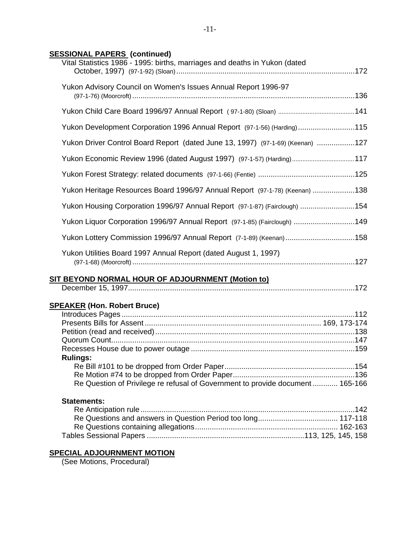# **SESSIONAL PAPERS (continued)**

| Vital Statistics 1986 - 1995: births, marriages and deaths in Yukon (dated     |  |
|--------------------------------------------------------------------------------|--|
| Yukon Advisory Council on Women's Issues Annual Report 1996-97                 |  |
|                                                                                |  |
| Yukon Development Corporation 1996 Annual Report (97-1-56) (Harding)115        |  |
| Yukon Driver Control Board Report (dated June 13, 1997) (97-1-69) (Keenan) 127 |  |
| Yukon Economic Review 1996 (dated August 1997) (97-1-57) (Harding) 117         |  |
|                                                                                |  |
| Yukon Heritage Resources Board 1996/97 Annual Report (97-1-78) (Keenan) 138    |  |
| Yukon Housing Corporation 1996/97 Annual Report (97-1-87) (Fairclough) 154     |  |
| Yukon Liquor Corporation 1996/97 Annual Report (97-1-85) (Fairclough) 149      |  |
| Yukon Lottery Commission 1996/97 Annual Report (7-1-89) (Keenan)158            |  |
| Yukon Utilities Board 1997 Annual Report (dated August 1, 1997)                |  |
| SIT BEYOND NORMAL HOUR OF ADJOURNMENT (Motion to)                              |  |
| <b>SPEAKER (Hon. Robert Bruce)</b>                                             |  |
|                                                                                |  |
|                                                                                |  |
|                                                                                |  |
|                                                                                |  |
| <b>Rulings:</b>                                                                |  |
|                                                                                |  |
|                                                                                |  |
| Re Question of Privilege re refusal of Government to provide document 165-166  |  |
| <b>Statements:</b>                                                             |  |
|                                                                                |  |
|                                                                                |  |
|                                                                                |  |
|                                                                                |  |
| <u>SPECIAL ADJOURNMENT MOTION</u>                                              |  |

(See Motions, Procedural)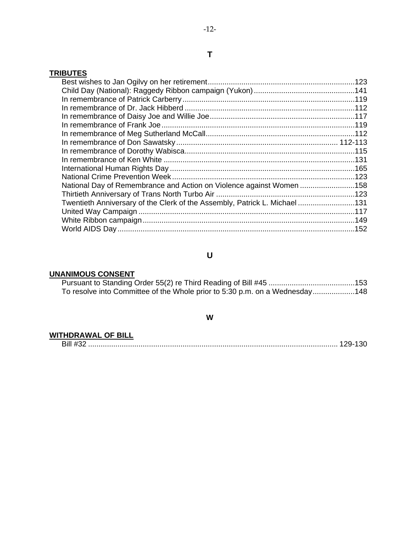# **TRIBUTES**

| National Day of Remembrance and Action on Violence against Women 158      |  |
|---------------------------------------------------------------------------|--|
|                                                                           |  |
| Twentieth Anniversary of the Clerk of the Assembly, Patrick L. Michael131 |  |
|                                                                           |  |
|                                                                           |  |
|                                                                           |  |
|                                                                           |  |

# **U**

# **UNANIMOUS CONSENT**

| To resolve into Committee of the Whole prior to 5:30 p.m. on a Wednesday148 |  |
|-----------------------------------------------------------------------------|--|

### **W**

## **WITHDRAWAL OF BILL**

| וווכ |  |  |
|------|--|--|
|------|--|--|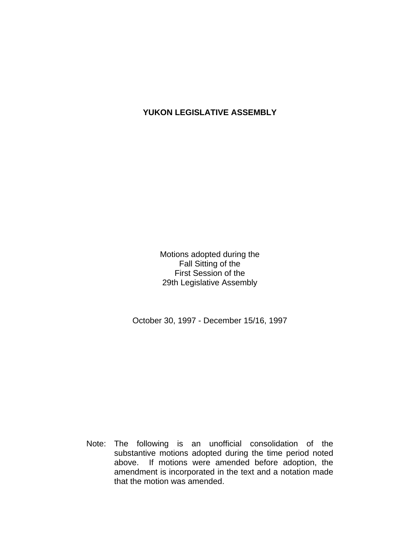## **YUKON LEGISLATIVE ASSEMBLY**

Motions adopted during the Fall Sitting of the First Session of the 29th Legislative Assembly

October 30, 1997 - December 15/16, 1997

 Note: The following is an unofficial consolidation of the substantive motions adopted during the time period noted above. If motions were amended before adoption, the amendment is incorporated in the text and a notation made that the motion was amended.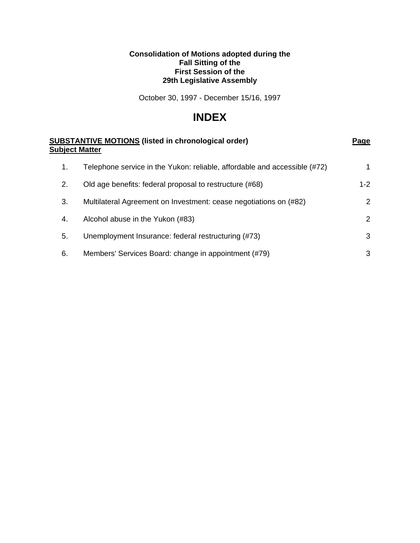## **Consolidation of Motions adopted during the Fall Sitting of the First Session of the 29th Legislative Assembly**

October 30, 1997 - December 15/16, 1997

# **INDEX**

| <b>SUBSTANTIVE MOTIONS (listed in chronological order)</b><br><b>Subject Matter</b> |                                                                           | Page    |
|-------------------------------------------------------------------------------------|---------------------------------------------------------------------------|---------|
| 1.                                                                                  | Telephone service in the Yukon: reliable, affordable and accessible (#72) | 1       |
| 2.                                                                                  | Old age benefits: federal proposal to restructure (#68)                   | $1 - 2$ |
| 3.                                                                                  | Multilateral Agreement on Investment: cease negotiations on (#82)         | 2       |
| 4.                                                                                  | Alcohol abuse in the Yukon (#83)                                          | 2       |
| 5.                                                                                  | Unemployment Insurance: federal restructuring (#73)                       | 3       |
| 6.                                                                                  | Members' Services Board: change in appointment (#79)                      | 3       |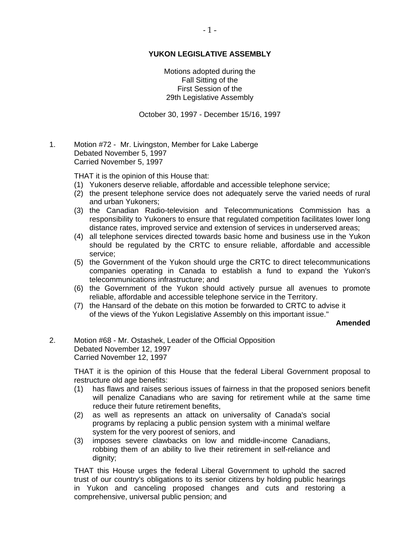## **YUKON LEGISLATIVE ASSEMBLY**

Motions adopted during the Fall Sitting of the First Session of the 29th Legislative Assembly

October 30, 1997 - December 15/16, 1997

1. Motion #72 - Mr. Livingston, Member for Lake Laberge Debated November 5, 1997 Carried November 5, 1997

THAT it is the opinion of this House that:

- (1) Yukoners deserve reliable, affordable and accessible telephone service;
- (2) the present telephone service does not adequately serve the varied needs of rural and urban Yukoners;
- (3) the Canadian Radio-television and Telecommunications Commission has a responsibility to Yukoners to ensure that regulated competition facilitates lower long distance rates, improved service and extension of services in underserved areas;
- (4) all telephone services directed towards basic home and business use in the Yukon should be regulated by the CRTC to ensure reliable, affordable and accessible service;
- (5) the Government of the Yukon should urge the CRTC to direct telecommunications companies operating in Canada to establish a fund to expand the Yukon's telecommunications infrastructure; and
- (6) the Government of the Yukon should actively pursue all avenues to promote reliable, affordable and accessible telephone service in the Territory.
- (7) the Hansard of the debate on this motion be forwarded to CRTC to advise it of the views of the Yukon Legislative Assembly on this important issue."

#### **Amended**

2. Motion #68 - Mr. Ostashek, Leader of the Official Opposition Debated November 12, 1997 Carried November 12, 1997

> THAT it is the opinion of this House that the federal Liberal Government proposal to restructure old age benefits:

- (1) has flaws and raises serious issues of fairness in that the proposed seniors benefit will penalize Canadians who are saving for retirement while at the same time reduce their future retirement benefits,
- (2) as well as represents an attack on universality of Canada's social programs by replacing a public pension system with a minimal welfare system for the very poorest of seniors, and
- (3) imposes severe clawbacks on low and middle-income Canadians, robbing them of an ability to live their retirement in self-reliance and dignity;

 THAT this House urges the federal Liberal Government to uphold the sacred trust of our country's obligations to its senior citizens by holding public hearings in Yukon and canceling proposed changes and cuts and restoring a comprehensive, universal public pension; and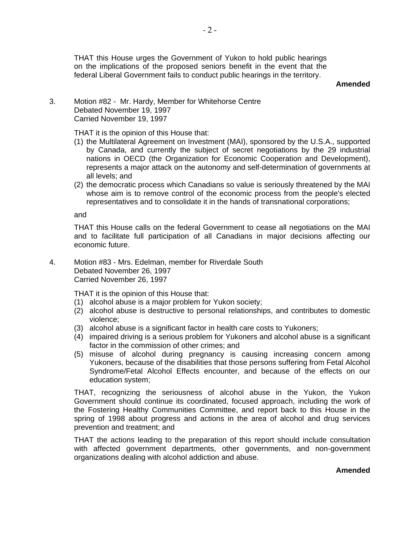THAT this House urges the Government of Yukon to hold public hearings on the implications of the proposed seniors benefit in the event that the federal Liberal Government fails to conduct public hearings in the territory.

### **Amended**

3. Motion #82 - Mr. Hardy, Member for Whitehorse Centre Debated November 19, 1997 Carried November 19, 1997

THAT it is the opinion of this House that:

- (1) the Multilateral Agreement on Investment (MAI), sponsored by the U.S.A., supported by Canada, and currently the subject of secret negotiations by the 29 industrial nations in OECD (the Organization for Economic Cooperation and Development), represents a major attack on the autonomy and self-determination of governments at all levels; and
- (2) the democratic process which Canadians so value is seriously threatened by the MAI whose aim is to remove control of the economic process from the people's elected representatives and to consolidate it in the hands of transnational corporations;

and

 THAT this House calls on the federal Government to cease all negotiations on the MAI and to facilitate full participation of all Canadians in major decisions affecting our economic future.

4. Motion #83 - Mrs. Edelman, member for Riverdale South Debated November 26, 1997 Carried November 26, 1997

THAT it is the opinion of this House that:

- (1) alcohol abuse is a major problem for Yukon society;
- (2) alcohol abuse is destructive to personal relationships, and contributes to domestic violence;
- (3) alcohol abuse is a significant factor in health care costs to Yukoners;
- (4) impaired driving is a serious problem for Yukoners and alcohol abuse is a significant factor in the commission of other crimes; and
- (5) misuse of alcohol during pregnancy is causing increasing concern among Yukoners, because of the disabilities that those persons suffering from Fetal Alcohol Syndrome/Fetal Alcohol Effects encounter, and because of the effects on our education system;

 THAT, recognizing the seriousness of alcohol abuse in the Yukon, the Yukon Government should continue its coordinated, focused approach, including the work of the Fostering Healthy Communities Committee, and report back to this House in the spring of 1998 about progress and actions in the area of alcohol and drug services prevention and treatment; and

THAT the actions leading to the preparation of this report should include consultation with affected government departments, other governments, and non-government organizations dealing with alcohol addiction and abuse.

#### **Amended**